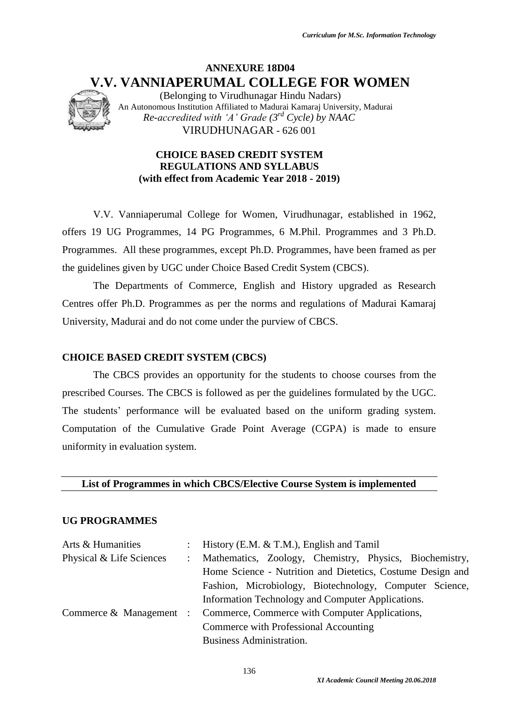# **ANNEXURE 18D04 V.V. VANNIAPERUMAL COLLEGE FOR WOMEN**

(Belonging to Virudhunagar Hindu Nadars) An Autonomous Institution Affiliated to Madurai Kamaraj University, Madurai *Re-accredited with 'A' Grade (3rd Cycle) by NAAC* VIRUDHUNAGAR - 626 001

# **CHOICE BASED CREDIT SYSTEM REGULATIONS AND SYLLABUS (with effect from Academic Year 2018 - 2019)**

V.V. Vanniaperumal College for Women, Virudhunagar, established in 1962, offers 19 UG Programmes, 14 PG Programmes, 6 M.Phil. Programmes and 3 Ph.D. Programmes. All these programmes, except Ph.D. Programmes, have been framed as per the guidelines given by UGC under Choice Based Credit System (CBCS).

The Departments of Commerce, English and History upgraded as Research Centres offer Ph.D. Programmes as per the norms and regulations of Madurai Kamaraj University, Madurai and do not come under the purview of CBCS.

# **CHOICE BASED CREDIT SYSTEM (CBCS)**

The CBCS provides an opportunity for the students to choose courses from the prescribed Courses. The CBCS is followed as per the guidelines formulated by the UGC. The students' performance will be evaluated based on the uniform grading system. Computation of the Cumulative Grade Point Average (CGPA) is made to ensure uniformity in evaluation system.

**List of Programmes in which CBCS/Elective Course System is implemented**

# **UG PROGRAMMES**

| Arts & Humanities        | : History (E.M. $&$ T.M.), English and Tamil                           |  |  |  |  |  |  |
|--------------------------|------------------------------------------------------------------------|--|--|--|--|--|--|
| Physical & Life Sciences | : Mathematics, Zoology, Chemistry, Physics, Biochemistry,              |  |  |  |  |  |  |
|                          | Home Science - Nutrition and Dietetics, Costume Design and             |  |  |  |  |  |  |
|                          | Fashion, Microbiology, Biotechnology, Computer Science,                |  |  |  |  |  |  |
|                          | Information Technology and Computer Applications.                      |  |  |  |  |  |  |
|                          | Commerce & Management : Commerce, Commerce with Computer Applications, |  |  |  |  |  |  |
|                          | Commerce with Professional Accounting                                  |  |  |  |  |  |  |
|                          | <b>Business Administration.</b>                                        |  |  |  |  |  |  |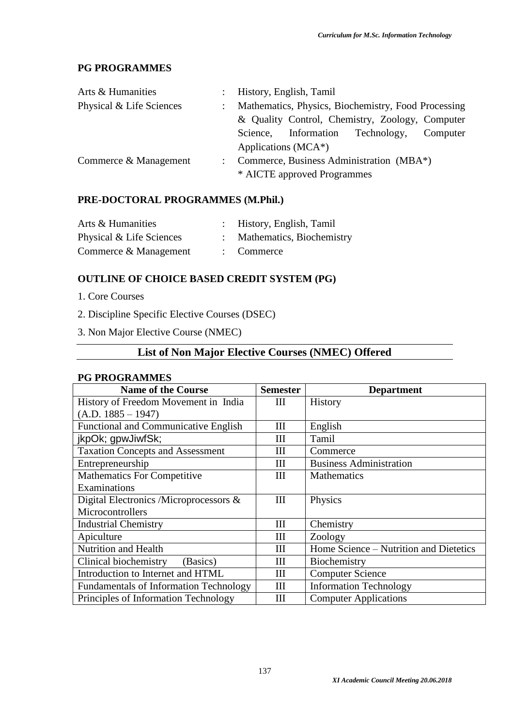# **PG PROGRAMMES**

| Arts & Humanities        | : History, English, Tamil                           |
|--------------------------|-----------------------------------------------------|
| Physical & Life Sciences | Mathematics, Physics, Biochemistry, Food Processing |
|                          | & Quality Control, Chemistry, Zoology, Computer     |
|                          | Information Technology,<br>Computer<br>Science,     |
|                          | Applications ( $MCA^*$ )                            |
| Commerce & Management    | Commerce, Business Administration (MBA*)            |
|                          | * AICTE approved Programmes                         |

# **PRE-DOCTORAL PROGRAMMES (M.Phil.)**

| Arts & Humanities        | : History, English, Tamil |
|--------------------------|---------------------------|
| Physical & Life Sciences | Mathematics, Biochemistry |
| Commerce & Management    | $:$ Commerce              |

# **OUTLINE OF CHOICE BASED CREDIT SYSTEM (PG)**

- 1. Core Courses
- 2. Discipline Specific Elective Courses (DSEC)
- 3. Non Major Elective Course (NMEC)

# **List of Non Major Elective Courses (NMEC) Offered**

### **PG PROGRAMMES**

| <b>Name of the Course</b>                     | <b>Semester</b> | <b>Department</b>                      |
|-----------------------------------------------|-----------------|----------------------------------------|
| History of Freedom Movement in India          | Ш               | <b>History</b>                         |
| $(A.D. 1885 - 1947)$                          |                 |                                        |
| <b>Functional and Communicative English</b>   | Ш               | English                                |
| jkpOk; gpwJiwfSk;                             | III             | Tamil                                  |
| <b>Taxation Concepts and Assessment</b>       | III             | Commerce                               |
| Entrepreneurship                              | Ш               | <b>Business Administration</b>         |
| <b>Mathematics For Competitive</b>            | Ш               | Mathematics                            |
| Examinations                                  |                 |                                        |
| Digital Electronics /Microprocessors $\&$     | Ш               | Physics                                |
| Microcontrollers                              |                 |                                        |
| <b>Industrial Chemistry</b>                   | Ш               | Chemistry                              |
| Apiculture                                    | Ш               | Zoology                                |
| <b>Nutrition and Health</b>                   | Ш               | Home Science – Nutrition and Dietetics |
| Clinical biochemistry<br>(Basics)             | Ш               | Biochemistry                           |
| Introduction to Internet and HTML             | Ш               | <b>Computer Science</b>                |
| <b>Fundamentals of Information Technology</b> | Ш               | <b>Information Technology</b>          |
| Principles of Information Technology          | Ш               | <b>Computer Applications</b>           |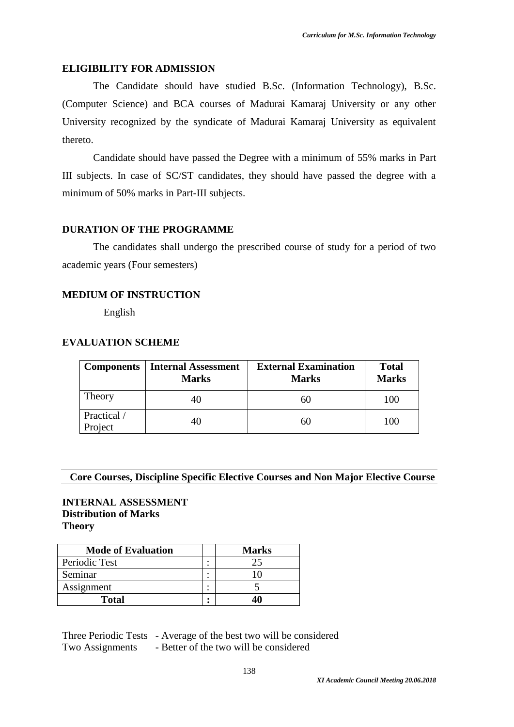### **ELIGIBILITY FOR ADMISSION**

The Candidate should have studied B.Sc. (Information Technology), B.Sc. (Computer Science) and BCA courses of Madurai Kamaraj University or any other University recognized by the syndicate of Madurai Kamaraj University as equivalent thereto.

Candidate should have passed the Degree with a minimum of 55% marks in Part III subjects. In case of SC/ST candidates, they should have passed the degree with a minimum of 50% marks in Part-III subjects.

# **DURATION OF THE PROGRAMME**

The candidates shall undergo the prescribed course of study for a period of two academic years (Four semesters)

### **MEDIUM OF INSTRUCTION**

English

### **EVALUATION SCHEME**

|                        | <b>Components   Internal Assessment</b><br><b>Marks</b> | <b>External Examination</b><br><b>Marks</b> | <b>Total</b><br><b>Marks</b> |
|------------------------|---------------------------------------------------------|---------------------------------------------|------------------------------|
| Theory                 | 40                                                      | 60                                          | 100                          |
| Practical /<br>Project | 40                                                      | 60                                          | 100                          |

# **Core Courses, Discipline Specific Elective Courses and Non Major Elective Course**

# **INTERNAL ASSESSMENT Distribution of Marks Theory**

| <b>Mode of Evaluation</b> | <b>Marks</b> |
|---------------------------|--------------|
| Periodic Test             |              |
| Seminar                   |              |
| Assignment                |              |
| <b>Total</b>              |              |

Three Periodic Tests - Average of the best two will be considered Two Assignments - Better of the two will be considered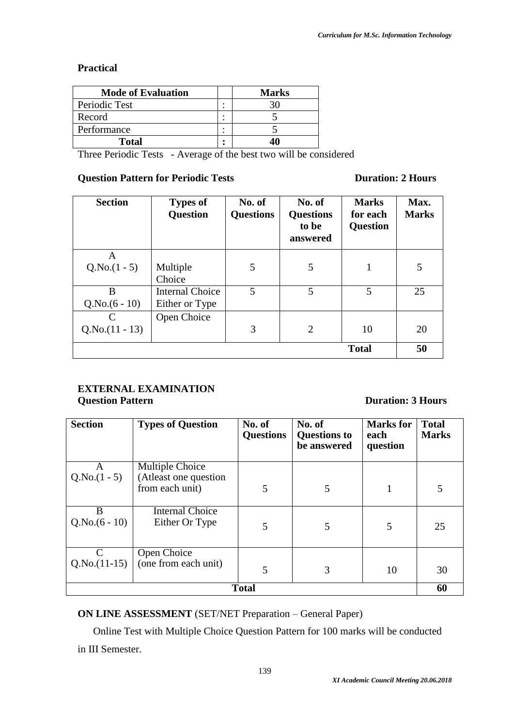# **Practical**

| <b>Mode of Evaluation</b> | <b>Marks</b> |
|---------------------------|--------------|
| Periodic Test             |              |
| Record                    |              |
| Performance               |              |
| <b>Total</b>              |              |

Three Periodic Tests - Average of the best two will be considered

# **Question Pattern for Periodic Tests Duration: 2 Hours**

| <b>Section</b>        | <b>Types of</b><br>Question              | No. of<br><b>Questions</b> | No. of<br><b>Questions</b><br>to be<br>answered | <b>Marks</b><br>for each<br><b>Question</b> | Max.<br><b>Marks</b> |
|-----------------------|------------------------------------------|----------------------------|-------------------------------------------------|---------------------------------------------|----------------------|
| A<br>$Q.No.(1 - 5)$   | Multiple<br>Choice                       | 5                          | 5                                               |                                             | 5                    |
| B<br>$Q.No.(6-10)$    | <b>Internal Choice</b><br>Either or Type | 5                          | 5                                               | 5                                           | 25                   |
| C<br>$Q.No.(11 - 13)$ | Open Choice                              | 3                          | $\overline{2}$                                  | 10                                          | 20                   |
|                       |                                          |                            |                                                 | <b>Total</b>                                | 50                   |

# **EXTERNAL EXAMINATION Question Pattern Duration: 3 Hours**

| <b>Section</b>      | <b>Types of Question</b>                 | No. of<br><b>Questions</b> | No. of<br><b>Questions to</b><br>be answered | <b>Marks</b> for<br>each<br>question | <b>Total</b><br><b>Marks</b> |
|---------------------|------------------------------------------|----------------------------|----------------------------------------------|--------------------------------------|------------------------------|
| A                   | Multiple Choice                          |                            |                                              |                                      |                              |
| $Q.No.(1 - 5)$      | (Atleast one question<br>from each unit) | 5                          | 5                                            |                                      |                              |
| B<br>$Q.No.(6-10)$  | <b>Internal Choice</b><br>Either Or Type | 5                          | 5                                            | 5                                    | 25                           |
| C<br>$Q.No.(11-15)$ | Open Choice<br>(one from each unit)      | 5                          | 3                                            | 10                                   | 30                           |
|                     |                                          | <b>Total</b>               |                                              |                                      | 60                           |

**ON LINE ASSESSMENT** (SET/NET Preparation – General Paper)

Online Test with Multiple Choice Question Pattern for 100 marks will be conducted

in III Semester.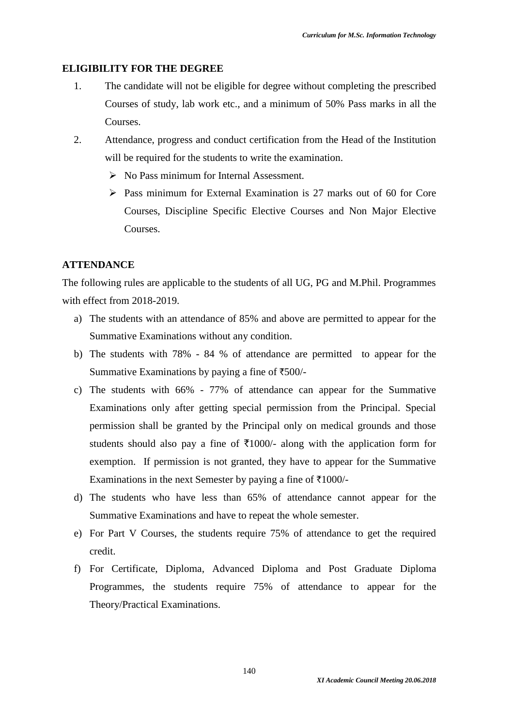#### **ELIGIBILITY FOR THE DEGREE**

- 1. The candidate will not be eligible for degree without completing the prescribed Courses of study, lab work etc., and a minimum of 50% Pass marks in all the **Courses**
- 2. Attendance, progress and conduct certification from the Head of the Institution will be required for the students to write the examination.
	- $\triangleright$  No Pass minimum for Internal Assessment.
	- Pass minimum for External Examination is 27 marks out of 60 for Core Courses, Discipline Specific Elective Courses and Non Major Elective Courses.

#### **ATTENDANCE**

The following rules are applicable to the students of all UG, PG and M.Phil. Programmes with effect from 2018-2019.

- a) The students with an attendance of 85% and above are permitted to appear for the Summative Examinations without any condition.
- b) The students with 78% 84 % of attendance are permitted to appear for the Summative Examinations by paying a fine of  $\text{\textsterling}500/-$
- c) The students with 66% 77% of attendance can appear for the Summative Examinations only after getting special permission from the Principal. Special permission shall be granted by the Principal only on medical grounds and those students should also pay a fine of  $\overline{5}1000$ /- along with the application form for exemption. If permission is not granted, they have to appear for the Summative Examinations in the next Semester by paying a fine of  $\overline{\tau}1000/-$
- d) The students who have less than 65% of attendance cannot appear for the Summative Examinations and have to repeat the whole semester.
- e) For Part V Courses, the students require 75% of attendance to get the required credit.
- f) For Certificate, Diploma, Advanced Diploma and Post Graduate Diploma Programmes, the students require 75% of attendance to appear for the Theory/Practical Examinations.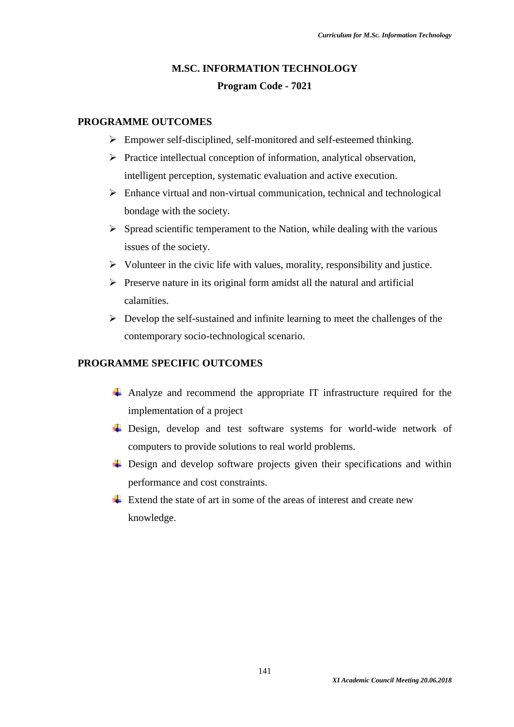# **M.SC. INFORMATION TECHNOLOGY Program Code - 7021**

### **PROGRAMME OUTCOMES**

- Empower self-disciplined, self-monitored and self-esteemed thinking.
- $\triangleright$  Practice intellectual conception of information, analytical observation, intelligent perception, systematic evaluation and active execution.
- $\triangleright$  Enhance virtual and non-virtual communication, technical and technological bondage with the society.
- $\triangleright$  Spread scientific temperament to the Nation, while dealing with the various issues of the society.
- $\triangleright$  Volunteer in the civic life with values, morality, responsibility and justice.
- $\triangleright$  Preserve nature in its original form amidst all the natural and artificial calamities.
- $\triangleright$  Develop the self-sustained and infinite learning to meet the challenges of the contemporary socio-technological scenario.

# **PROGRAMME SPECIFIC OUTCOMES**

- Analyze and recommend the appropriate IT infrastructure required for the implementation of a project
- ↓ Design, develop and test software systems for world-wide network of computers to provide solutions to real world problems.
- $\overline{\phantom{a}}$  Design and develop software projects given their specifications and within performance and cost constraints.
- $\pm$  Extend the state of art in some of the areas of interest and create new knowledge.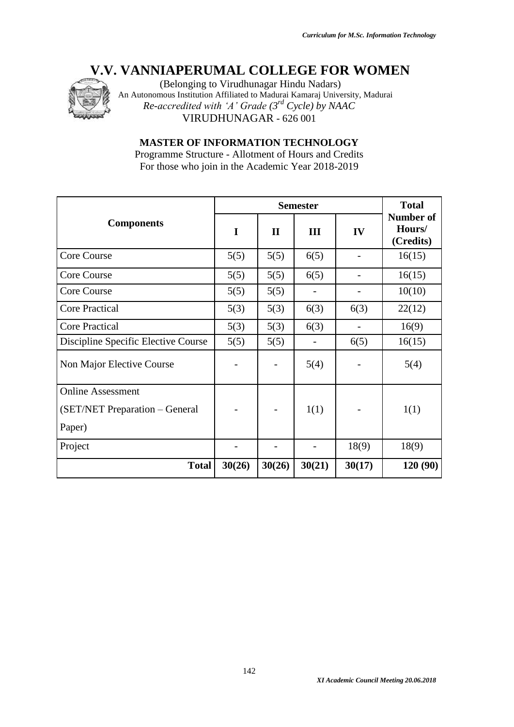

(Belonging to Virudhunagar Hindu Nadars) An Autonomous Institution Affiliated to Madurai Kamaraj University, Madurai *Re-accredited with 'A' Grade (3rd Cycle) by NAAC* VIRUDHUNAGAR - 626 001

**MASTER OF INFORMATION TECHNOLOGY**

Programme Structure - Allotment of Hours and Credits For those who join in the Academic Year 2018-2019

|                                     |             | <b>Total</b> |        |        |                                         |
|-------------------------------------|-------------|--------------|--------|--------|-----------------------------------------|
| <b>Components</b>                   | $\mathbf I$ | $\mathbf{I}$ | III    | IV     | <b>Number of</b><br>Hours/<br>(Credits) |
| Core Course                         | 5(5)        | 5(5)         | 6(5)   |        | 16(15)                                  |
| Core Course                         | 5(5)        | 5(5)         | 6(5)   |        | 16(15)                                  |
| Core Course                         | 5(5)        | 5(5)         |        |        | 10(10)                                  |
| <b>Core Practical</b>               | 5(3)        | 5(3)         | 6(3)   | 6(3)   | 22(12)                                  |
| <b>Core Practical</b>               | 5(3)        | 5(3)         | 6(3)   |        | 16(9)                                   |
| Discipline Specific Elective Course | 5(5)        | 5(5)         |        | 6(5)   | 16(15)                                  |
| Non Major Elective Course           |             |              | 5(4)   |        | 5(4)                                    |
| <b>Online Assessment</b>            |             |              |        |        |                                         |
| (SET/NET Preparation - General      |             |              | 1(1)   |        | 1(1)                                    |
| Paper)                              |             |              |        |        |                                         |
| Project                             |             |              |        | 18(9)  | 18(9)                                   |
| <b>Total</b>                        | 30(26)      | 30(26)       | 30(21) | 30(17) | 120 (90)                                |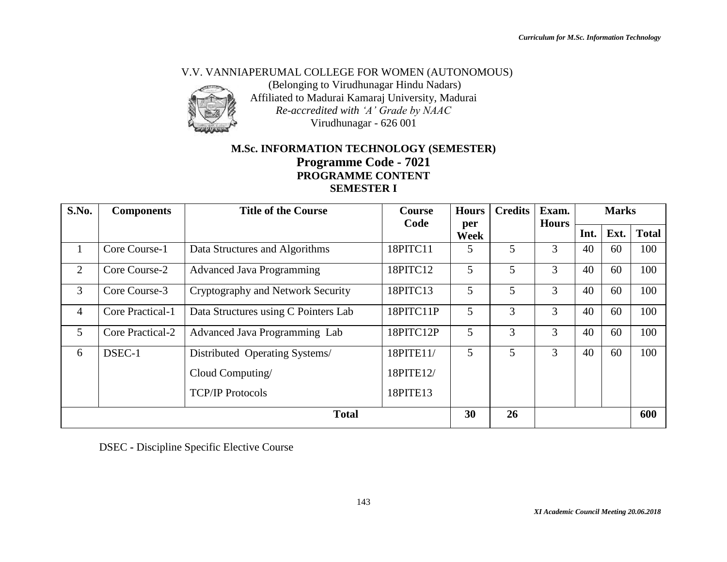### V.V. VANNIAPERUMAL COLLEGE FOR WOMEN (AUTONOMOUS)



(Belonging to Virudhunagar Hindu Nadars) Affiliated to Madurai Kamaraj University, Madurai *Re-accredited with 'A' Grade by NAAC* Virudhunagar - 626 001

# **M.Sc. INFORMATION TECHNOLOGY (SEMESTER) Programme Code - 7021 PROGRAMME CONTENT SEMESTER I**

| S.No.          | <b>Components</b>       | <b>Title of the Course</b><br><b>Course</b><br>Code |           | <b>Hours</b> | <b>Credits</b> | Exam.<br><b>Hours</b> |      | <b>Marks</b> |              |
|----------------|-------------------------|-----------------------------------------------------|-----------|--------------|----------------|-----------------------|------|--------------|--------------|
|                |                         |                                                     |           | per<br>Week  |                |                       | Int. | Ext.         | <b>Total</b> |
| $\bf{l}$       | Core Course-1           | Data Structures and Algorithms                      | 18PITC11  | 5            | 5              | 3                     | 40   | 60           | 100          |
| 2              | Core Course-2           | <b>Advanced Java Programming</b>                    | 18PITC12  | 5            | 5              | 3                     | 40   | 60           | 100          |
| 3              | Core Course-3           | Cryptography and Network Security                   | 18PITC13  | 5            | 5              | 3                     | 40   | 60           | 100          |
| $\overline{4}$ | Core Practical-1        | Data Structures using C Pointers Lab                | 18PITC11P | 5            | 3              | 3                     | 40   | 60           | 100          |
| 5              | <b>Core Practical-2</b> | Advanced Java Programming Lab                       | 18PITC12P | 5            | 3              | 3                     | 40   | 60           | 100          |
| 6              | DSEC-1                  | Distributed Operating Systems/                      | 18PITE11/ | 5            | 5              | 3                     | 40   | 60           | 100          |
|                |                         | Cloud Computing/                                    | 18PITE12/ |              |                |                       |      |              |              |
|                |                         | <b>TCP/IP Protocols</b>                             | 18PITE13  |              |                |                       |      |              |              |
| <b>Total</b>   |                         |                                                     | 30        | 26           |                |                       |      | 600          |              |

DSEC **-** Discipline Specific Elective Course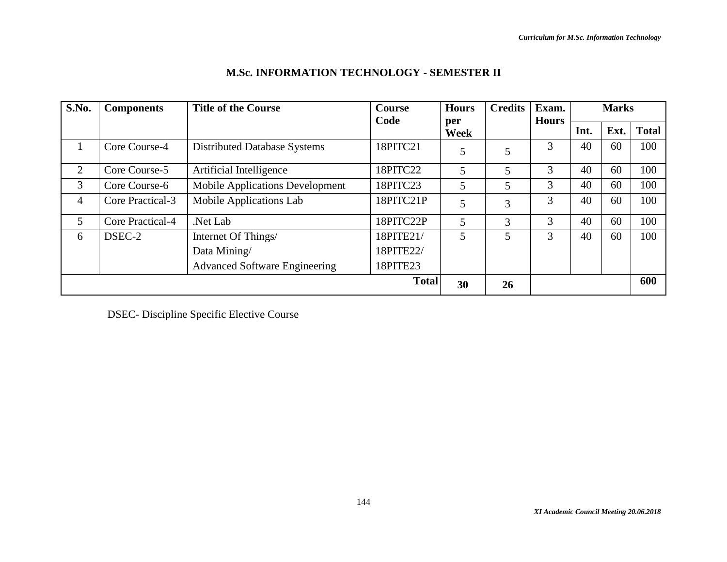| S.No. | <b>Components</b> | <b>Title of the Course</b>             | <b>Hours</b><br>Course<br>Code |             | <b>Credits</b> | Exam.<br><b>Hours</b> |      | <b>Marks</b> |              |
|-------|-------------------|----------------------------------------|--------------------------------|-------------|----------------|-----------------------|------|--------------|--------------|
|       |                   |                                        |                                | per<br>Week |                |                       | Int. | Ext.         | <b>Total</b> |
|       | Core Course-4     | <b>Distributed Database Systems</b>    | 18PITC21                       | 5           | 5              | 3                     | 40   | 60           | 100          |
| 2     | Core Course-5     | Artificial Intelligence                | 18PITC22                       | 5           | 5              | 3                     | 40   | 60           | 100          |
| 3     | Core Course-6     | <b>Mobile Applications Development</b> | 18PITC23                       | 5           | 5              | 3                     | 40   | 60           | 100          |
| 4     | Core Practical-3  | Mobile Applications Lab                | 18PITC21P                      | 5           | 3              | 3                     | 40   | 60           | 100          |
| 5     | Core Practical-4  | Net Lab.                               | 18PITC22P                      | 5           | 3              | 3                     | 40   | 60           | 100          |
| 6     | DSEC-2            | Internet Of Things/                    | 18PITE21/                      | 5           | 5              | 3                     | 40   | 60           | 100          |
|       |                   | Data Mining/                           | 18PITE22/                      |             |                |                       |      |              |              |
|       |                   | <b>Advanced Software Engineering</b>   | 18PITE23                       |             |                |                       |      |              |              |
|       |                   |                                        | <b>Total</b>                   | 30          | 26             |                       |      |              | 600          |

# **M.Sc. INFORMATION TECHNOLOGY - SEMESTER II**

DSEC- Discipline Specific Elective Course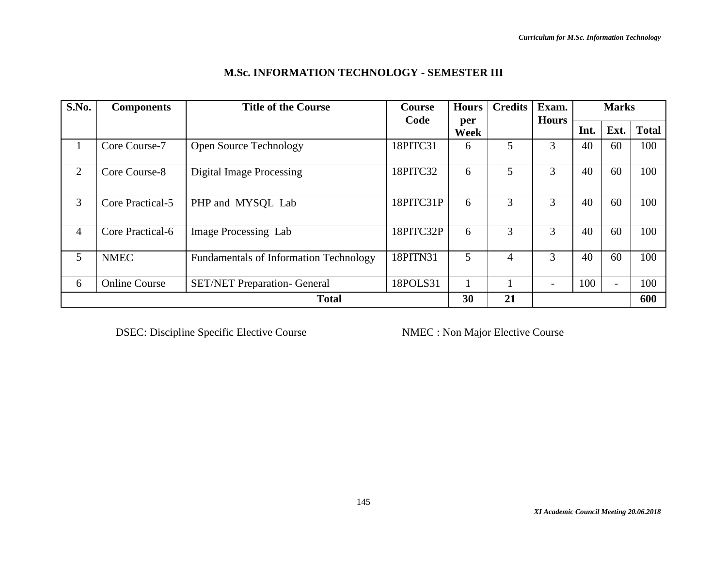| S.No.          | <b>Components</b>    | <b>Title of the Course</b>                    | Course<br>Code<br>per | <b>Hours</b> | <b>Credits</b> |              |      | <b>Marks</b>             |              |
|----------------|----------------------|-----------------------------------------------|-----------------------|--------------|----------------|--------------|------|--------------------------|--------------|
|                |                      |                                               |                       | Week         |                | <b>Hours</b> | Int. | Ext.                     | <b>Total</b> |
| 1              | Core Course-7        | <b>Open Source Technology</b>                 | 18PITC31              | 6            | 5              | 3            | 40   | 60                       | 100          |
| 2              | Core Course-8        | <b>Digital Image Processing</b>               | 18PITC32              | 6            | 5              | 3            | 40   | 60                       | 100          |
| 3              | Core Practical-5     | PHP and MYSQL Lab                             | 18PITC31P             | 6            | 3              | 3            | 40   | 60                       | 100          |
| $\overline{4}$ | Core Practical-6     | Image Processing Lab                          | 18PITC32P             | 6            | 3              | 3            | 40   | 60                       | 100          |
| 5              | <b>NMEC</b>          | <b>Fundamentals of Information Technology</b> | 18PITN31              | 5            | 4              | 3            | 40   | 60                       | 100          |
| 6              | <b>Online Course</b> | <b>SET/NET Preparation- General</b>           | 18POLS31              | л.           |                |              | 100  | $\overline{\phantom{0}}$ | 100          |
|                |                      | <b>Total</b>                                  |                       | 30           | 21             |              |      |                          | 600          |

# **M.Sc. INFORMATION TECHNOLOGY - SEMESTER III**

**DSEC: Discipline Specific Elective Course NMEC : Non Major Elective Course**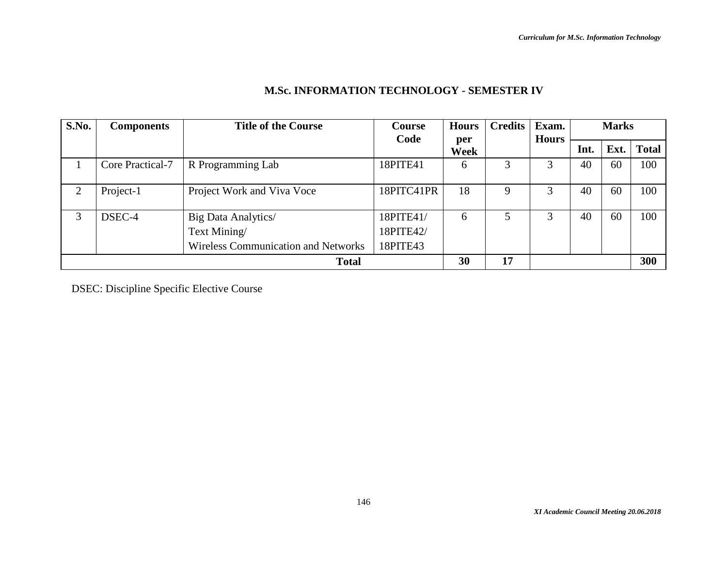| S.No. | <b>Components</b> | <b>Title of the Course</b>                                                        | Course                             | <b>Hours</b> | <b>Credits</b> | Exam.        |      | <b>Marks</b> |              |
|-------|-------------------|-----------------------------------------------------------------------------------|------------------------------------|--------------|----------------|--------------|------|--------------|--------------|
|       |                   |                                                                                   | Code                               | per<br>Week  |                | <b>Hours</b> | Int. | Ext.         | <b>Total</b> |
|       | Core Practical-7  | R Programming Lab                                                                 | 18PITE41                           | 6            |                |              | 40   | 60           | 100          |
| 2     | Project-1         | Project Work and Viva Voce                                                        | 18PITC41PR                         | 18           | 9              | 3            | 40   | 60           | 100          |
| 3     | DSEC-4            | Big Data Analytics/<br>Text Mining/<br><b>Wireless Communication and Networks</b> | 18PITE41/<br>18PITE42/<br>18PITE43 | 6            | 5              | 3            | 40   | 60           | 100          |
|       | <b>Total</b>      |                                                                                   |                                    | 30           | 17             |              |      |              | 300          |

# **M.Sc. INFORMATION TECHNOLOGY - SEMESTER IV**

DSEC: Discipline Specific Elective Course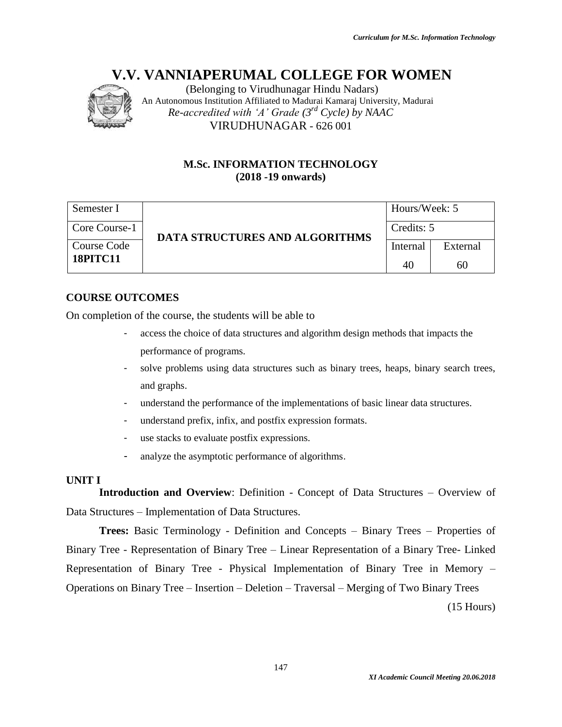

(Belonging to Virudhunagar Hindu Nadars) An Autonomous Institution Affiliated to Madurai Kamaraj University, Madurai *Re-accredited with 'A' Grade (3rd Cycle) by NAAC* VIRUDHUNAGAR - 626 001

# **M.Sc. INFORMATION TECHNOLOGY (2018 -19 onwards)**

| Semester I      |                                       |            | Hours/Week: 5 |  |  |
|-----------------|---------------------------------------|------------|---------------|--|--|
| Core Course-1   | <b>DATA STRUCTURES AND ALGORITHMS</b> | Credits: 5 |               |  |  |
| Course Code     |                                       | Internal   | External      |  |  |
| <b>18PITC11</b> |                                       | 40         | 60            |  |  |

# **COURSE OUTCOMES**

On completion of the course, the students will be able to

- access the choice of data structures and algorithm design methods that impacts the performance of programs.
- solve problems using data structures such as binary trees, heaps, binary search trees, and graphs.
- understand the performance of the implementations of basic linear data structures.
- understand prefix, infix, and postfix expression formats.
- use stacks to evaluate postfix expressions.
- analyze the asymptotic performance of algorithms.

# **UNIT I**

**Introduction and Overview**: Definition - Concept of Data Structures – Overview of Data Structures – Implementation of Data Structures.

**Trees:** Basic Terminology - Definition and Concepts – Binary Trees – Properties of Binary Tree - Representation of Binary Tree – Linear Representation of a Binary Tree- Linked Representation of Binary Tree - Physical Implementation of Binary Tree in Memory – Operations on Binary Tree – Insertion – Deletion – Traversal – Merging of Two Binary Trees

147

(15 Hours)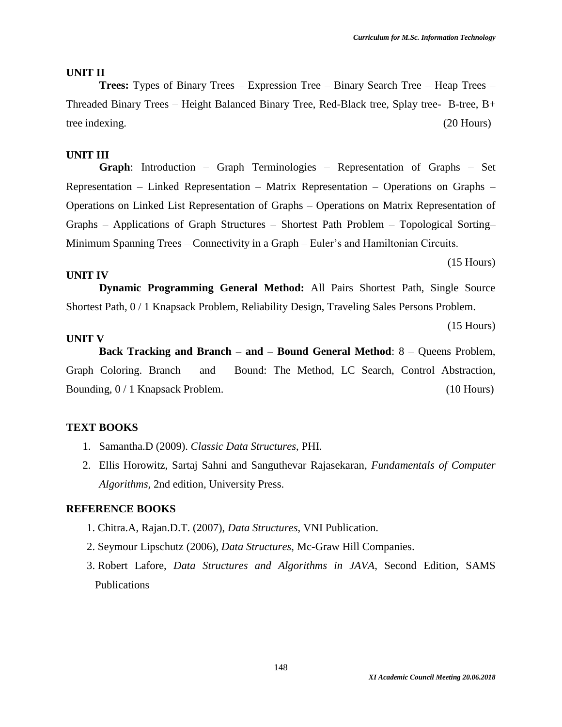#### **UNIT II**

**Trees:** Types of Binary Trees – Expression Tree – Binary Search Tree – Heap Trees – Threaded Binary Trees – Height Balanced Binary Tree, Red-Black tree, Splay tree- B-tree, B+ tree indexing. (20 Hours)

#### **UNIT III**

**Graph**: Introduction – Graph Terminologies – Representation of Graphs – Set Representation – Linked Representation – Matrix Representation – Operations on Graphs – Operations on Linked List Representation of Graphs – Operations on Matrix Representation of Graphs – Applications of Graph Structures – Shortest Path Problem – Topological Sorting– Minimum Spanning Trees – Connectivity in a Graph – Euler's and Hamiltonian Circuits.

#### **UNIT IV**

**Dynamic Programming General Method:** All Pairs Shortest Path, Single Source Shortest Path, 0 / 1 Knapsack Problem, Reliability Design, Traveling Sales Persons Problem.

(15 Hours)

(15 Hours)

#### **UNIT V**

**Back Tracking and Branch – and – Bound General Method**: 8 – Queens Problem, Graph Coloring. Branch – and – Bound: The Method, LC Search, Control Abstraction, Bounding,  $0/1$  Knapsack Problem. (10 Hours)

#### **TEXT BOOKS**

- 1. Samantha.D (2009). *Classic Data Structures*, PHI.
- 2. Ellis Horowitz, Sartaj Sahni and Sanguthevar Rajasekaran, *Fundamentals of Computer Algorithms,* 2nd edition*,* University Press.

- 1. Chitra.A, Rajan.D.T. (2007), *Data Structures*, VNI Publication.
- 2. Seymour Lipschutz (2006), *Data Structures*, Mc-Graw Hill Companies.
- 3. Robert Lafore, *Data Structures and Algorithms in JAVA*, Second Edition, SAMS Publications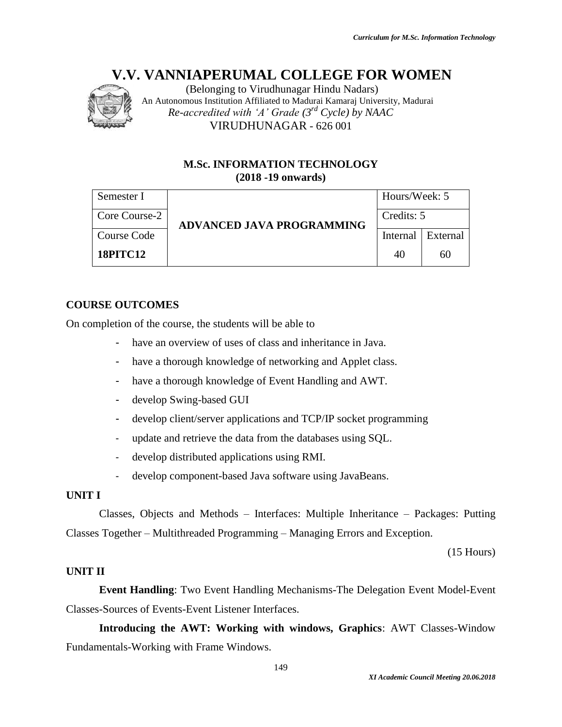

(Belonging to Virudhunagar Hindu Nadars) An Autonomous Institution Affiliated to Madurai Kamaraj University, Madurai *Re-accredited with 'A' Grade (3rd Cycle) by NAAC* VIRUDHUNAGAR - 626 001

# **M.Sc. INFORMATION TECHNOLOGY (2018 -19 onwards)**

| Semester I      |                                  | Hours/Week: 5 |          |  |
|-----------------|----------------------------------|---------------|----------|--|
| Core Course-2   | <b>ADVANCED JAVA PROGRAMMING</b> | Credits: 5    |          |  |
| Course Code     |                                  | Internal      | External |  |
| <b>18PITC12</b> |                                  | 40            | 60       |  |

# **COURSE OUTCOMES**

On completion of the course, the students will be able to

- have an overview of uses of class and inheritance in Java.
- have a thorough knowledge of networking and Applet class.
- have a thorough knowledge of Event Handling and AWT.
- develop Swing-based GUI
- develop client/server applications and TCP/IP socket programming
- update and retrieve the data from the databases using SQL.
- develop distributed applications using RMI.
- develop component-based Java software using JavaBeans.

# **UNIT I**

Classes, Objects and Methods – Interfaces: Multiple Inheritance – Packages: Putting Classes Together – Multithreaded Programming – Managing Errors and Exception.

(15 Hours)

# **UNIT II**

**Event Handling**: Two Event Handling Mechanisms-The Delegation Event Model-Event Classes-Sources of Events-Event Listener Interfaces.

**Introducing the AWT: Working with windows, Graphics**: AWT Classes-Window Fundamentals-Working with Frame Windows.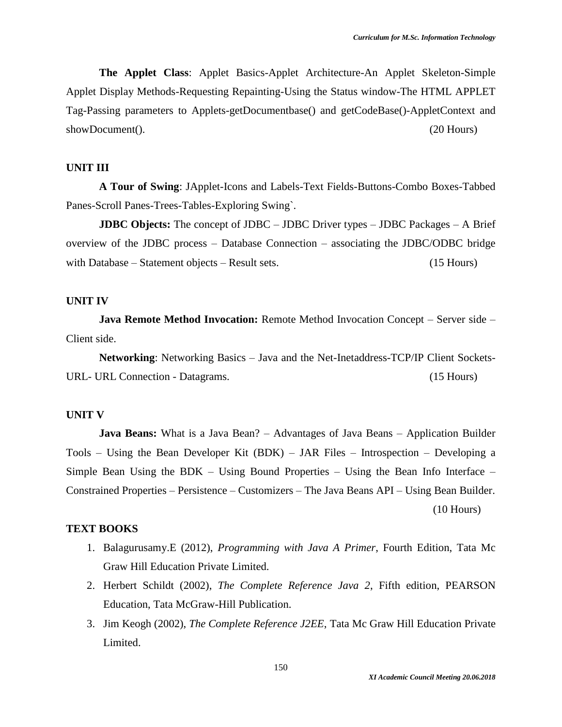**The Applet Class**: Applet Basics-Applet Architecture-An Applet Skeleton-Simple Applet Display Methods-Requesting Repainting-Using the Status window-The HTML APPLET Tag-Passing parameters to Applets-getDocumentbase() and getCodeBase()-AppletContext and showDocument(). (20 Hours)

#### **UNIT III**

**A Tour of Swing**: JApplet-Icons and Labels-Text Fields-Buttons-Combo Boxes-Tabbed Panes-Scroll Panes-Trees-Tables-Exploring Swing`.

**JDBC Objects:** The concept of JDBC – JDBC Driver types – JDBC Packages – A Brief overview of the JDBC process – Database Connection – associating the JDBC/ODBC bridge with Database – Statement objects – Result sets. (15 Hours)

#### **UNIT IV**

**Java Remote Method Invocation:** Remote Method Invocation Concept – Server side – Client side.

**Networking**: Networking Basics – Java and the Net-Inetaddress-TCP/IP Client Sockets-URL- URL Connection - Datagrams. (15 Hours)

#### **UNIT V**

**Java Beans:** What is a Java Bean? – Advantages of Java Beans – Application Builder Tools – Using the Bean Developer Kit (BDK) – JAR Files – Introspection – Developing a Simple Bean Using the BDK – Using Bound Properties – Using the Bean Info Interface – Constrained Properties – Persistence – Customizers – The Java Beans API – Using Bean Builder. (10 Hours)

#### **TEXT BOOKS**

- 1. Balagurusamy.E (2012), *Programming with Java A Primer*, Fourth Edition, Tata Mc Graw Hill Education Private Limited.
- 2. Herbert Schildt (2002), *The Complete Reference Java 2*, Fifth edition, PEARSON Education, Tata McGraw-Hill Publication.
- 3. Jim Keogh (2002), *The Complete Reference J2EE*, Tata Mc Graw Hill Education Private Limited.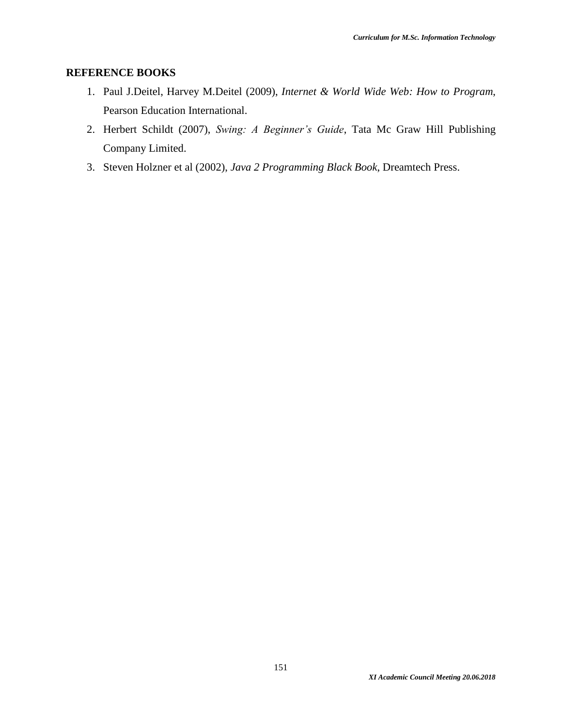- 1. Paul J.Deitel, Harvey M.Deitel (2009), *Internet & World Wide Web: How to Program*, Pearson Education International.
- 2. Herbert Schildt (2007), *Swing: A Beginner's Guide*, Tata Mc Graw Hill Publishing Company Limited.
- 3. Steven Holzner et al (2002), *Java 2 Programming Black Book*, Dreamtech Press.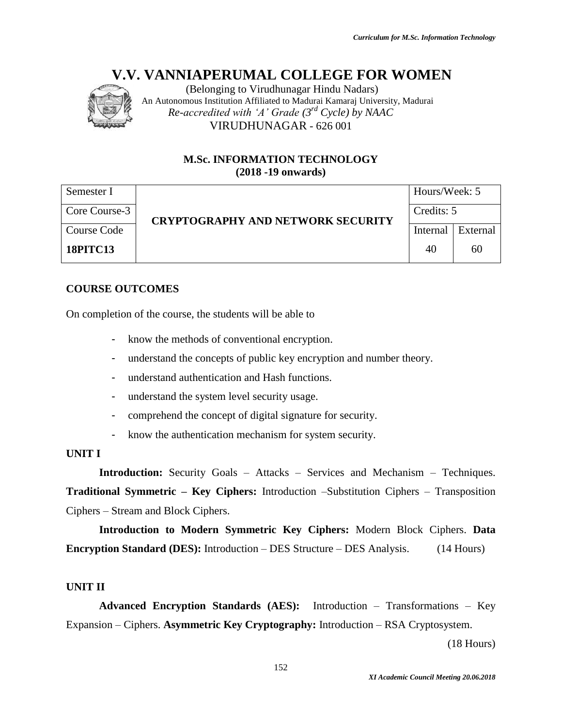

(Belonging to Virudhunagar Hindu Nadars) An Autonomous Institution Affiliated to Madurai Kamaraj University, Madurai *Re-accredited with 'A' Grade (3rd Cycle) by NAAC* VIRUDHUNAGAR - 626 001

# **M.Sc. INFORMATION TECHNOLOGY (2018 -19 onwards)**

| Semester I      |                                                        | Hours/Week: 5 |          |  |
|-----------------|--------------------------------------------------------|---------------|----------|--|
| Core Course-3   | Credits: 5<br><b>CRYPTOGRAPHY AND NETWORK SECURITY</b> |               |          |  |
| Course Code     |                                                        | Internal      | External |  |
| <b>18PITC13</b> |                                                        | 40            | 60       |  |

# **COURSE OUTCOMES**

On completion of the course, the students will be able to

- know the methods of conventional encryption.
- understand the concepts of public key encryption and number theory.
- understand authentication and Hash functions.
- understand the system level security usage.
- comprehend the concept of digital signature for security.
- know the authentication mechanism for system security.

#### **UNIT I**

**Introduction:** Security Goals – Attacks – Services and Mechanism – Techniques. **Traditional Symmetric – Key Ciphers:** Introduction –Substitution Ciphers – Transposition Ciphers – Stream and Block Ciphers.

**Introduction to Modern Symmetric Key Ciphers:** Modern Block Ciphers. **Data Encryption Standard (DES):** Introduction – DES Structure – DES Analysis. (14 Hours)

# **UNIT II**

**Advanced Encryption Standards (AES):** Introduction – Transformations – Key Expansion – Ciphers. **Asymmetric Key Cryptography:** Introduction – RSA Cryptosystem.

(18 Hours)

*XI Academic Council Meeting 20.06.2018*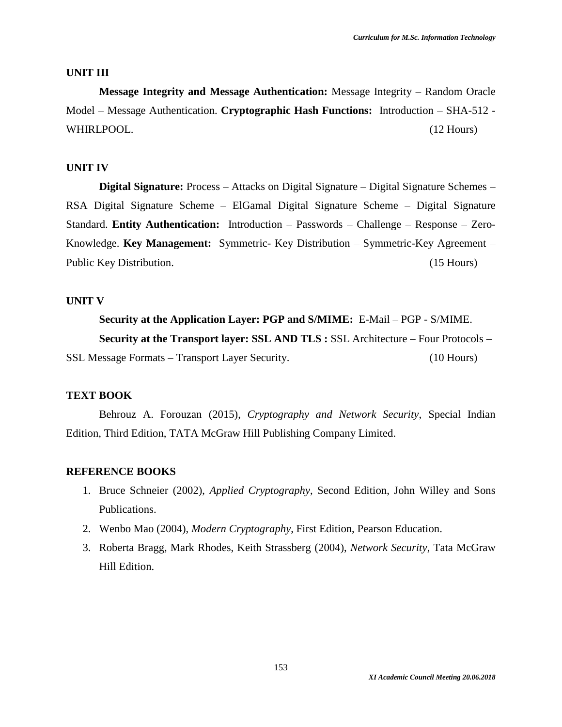#### **UNIT III**

**Message Integrity and Message Authentication:** Message Integrity – Random Oracle Model – Message Authentication. **Cryptographic Hash Functions:** Introduction – SHA-512 - WHIRLPOOL. (12 Hours)

#### **UNIT IV**

**Digital Signature:** Process – Attacks on Digital Signature – Digital Signature Schemes – RSA Digital Signature Scheme – ElGamal Digital Signature Scheme – Digital Signature Standard. **Entity Authentication:** Introduction – Passwords – Challenge – Response – Zero-Knowledge. **Key Management:** Symmetric- Key Distribution – Symmetric-Key Agreement – Public Key Distribution. (15 Hours)

#### **UNIT V**

**Security at the Application Layer: PGP and S/MIME:** E-Mail – PGP - S/MIME. **Security at the Transport layer: SSL AND TLS :** SSL Architecture – Four Protocols – SSL Message Formats – Transport Layer Security. (10 Hours)

#### **TEXT BOOK**

Behrouz A. Forouzan (2015), *Cryptography and Network Security*, Special Indian Edition, Third Edition, TATA McGraw Hill Publishing Company Limited.

- 1. Bruce Schneier (2002), *Applied Cryptography*, Second Edition, John Willey and Sons Publications.
- 2. Wenbo Mao (2004), *Modern Cryptography*, First Edition, Pearson Education.
- 3. Roberta Bragg, Mark Rhodes, Keith Strassberg (2004), *Network Security*, Tata McGraw Hill Edition.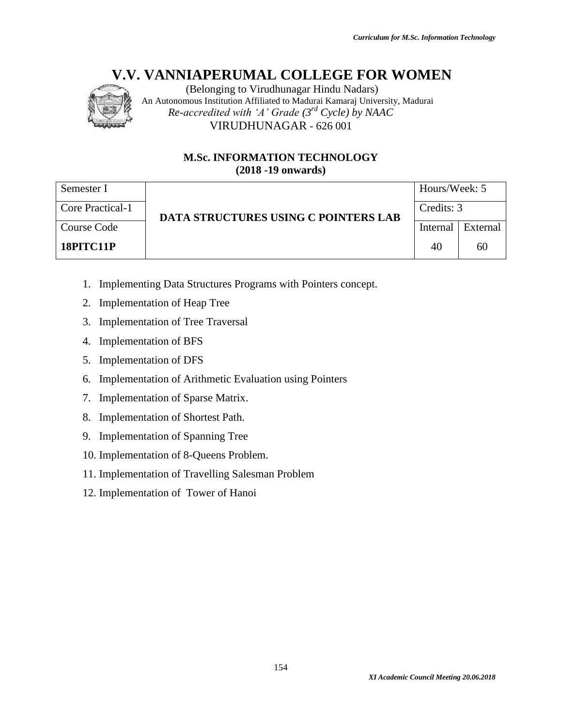

(Belonging to Virudhunagar Hindu Nadars) An Autonomous Institution Affiliated to Madurai Kamaraj University, Madurai *Re-accredited with 'A' Grade (3rd Cycle) by NAAC* VIRUDHUNAGAR - 626 001

# **M.Sc. INFORMATION TECHNOLOGY (2018 -19 onwards)**

| Semester I       |                                      | Hours/Week: 5 |            |  |
|------------------|--------------------------------------|---------------|------------|--|
| Core Practical-1 | DATA STRUCTURES USING C POINTERS LAB |               | Credits: 3 |  |
| Course Code      |                                      | Internal      | External   |  |
| 18PITC11P        |                                      | 40            | 60         |  |

- 1. Implementing Data Structures Programs with Pointers concept.
- 2. Implementation of Heap Tree
- 3. Implementation of Tree Traversal
- 4. Implementation of BFS
- 5. Implementation of DFS
- 6. Implementation of Arithmetic Evaluation using Pointers
- 7. Implementation of Sparse Matrix.
- 8. Implementation of Shortest Path.
- 9. Implementation of Spanning Tree
- 10. Implementation of 8-Queens Problem.
- 11. Implementation of Travelling Salesman Problem
- 12. Implementation of Tower of Hanoi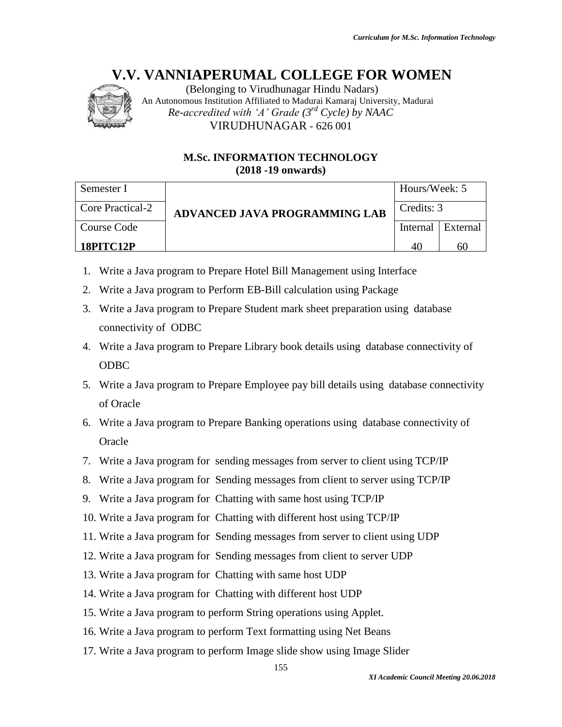

(Belonging to Virudhunagar Hindu Nadars) An Autonomous Institution Affiliated to Madurai Kamaraj University, Madurai *Re-accredited with 'A' Grade (3rd Cycle) by NAAC* VIRUDHUNAGAR - 626 001

# **M.Sc. INFORMATION TECHNOLOGY (2018 -19 onwards)**

| Semester I       |                               | Hours/Week: 5 |                   |
|------------------|-------------------------------|---------------|-------------------|
| Core Practical-2 | ADVANCED JAVA PROGRAMMING LAB | Credits: 3    |                   |
| l Course Code    |                               |               | Internal External |
| <b>18PITC12P</b> |                               |               | 61                |

- 1. Write a Java program to Prepare Hotel Bill Management using Interface
- 2. Write a Java program to Perform EB-Bill calculation using Package
- 3. Write a Java program to Prepare Student mark sheet preparation using database connectivity of ODBC
- 4. Write a Java program to Prepare Library book details using database connectivity of ODBC
- 5. Write a Java program to Prepare Employee pay bill details using database connectivity of Oracle
- 6. Write a Java program to Prepare Banking operations using database connectivity of **Oracle**
- 7. Write a Java program for sending messages from server to client using TCP/IP
- 8. Write a Java program for Sending messages from client to server using TCP/IP
- 9. Write a Java program for Chatting with same host using TCP/IP
- 10. Write a Java program for Chatting with different host using TCP/IP
- 11. Write a Java program for Sending messages from server to client using UDP
- 12. Write a Java program for Sending messages from client to server UDP
- 13. Write a Java program for Chatting with same host UDP
- 14. Write a Java program for Chatting with different host UDP
- 15. Write a Java program to perform String operations using Applet.
- 16. Write a Java program to perform Text formatting using Net Beans
- 17. Write a Java program to perform Image slide show using Image Slider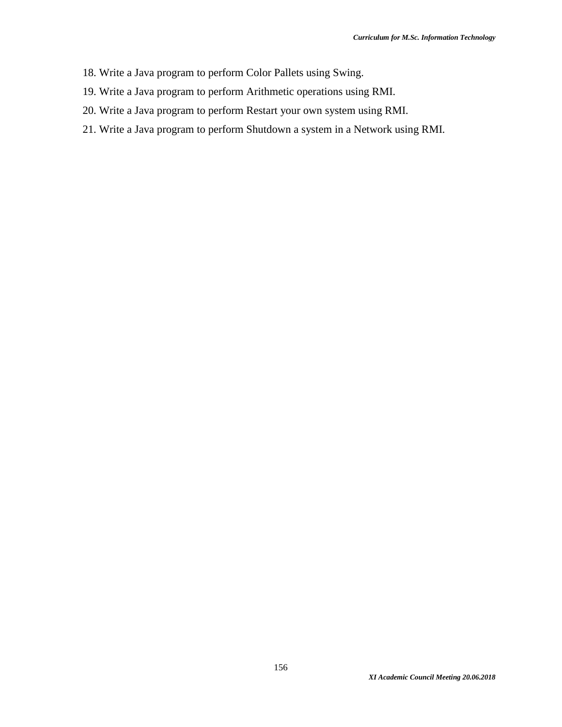- 18. Write a Java program to perform Color Pallets using Swing.
- 19. Write a Java program to perform Arithmetic operations using RMI.
- 20. Write a Java program to perform Restart your own system using RMI.
- 21. Write a Java program to perform Shutdown a system in a Network using RMI.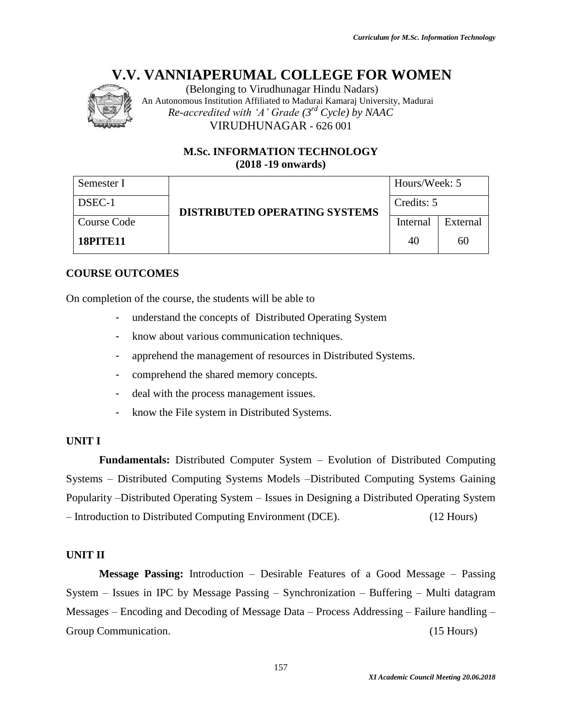

(Belonging to Virudhunagar Hindu Nadars) An Autonomous Institution Affiliated to Madurai Kamaraj University, Madurai *Re-accredited with 'A' Grade (3rd Cycle) by NAAC* VIRUDHUNAGAR - 626 001

# **M.Sc. INFORMATION TECHNOLOGY (2018 -19 onwards)**

| Semester I      |                                      | Hours/Week: 5 |          |  |
|-----------------|--------------------------------------|---------------|----------|--|
| DSEC-1          | <b>DISTRIBUTED OPERATING SYSTEMS</b> | Credits: 5    |          |  |
| Course Code     |                                      | Internal      | External |  |
| <b>18PITE11</b> |                                      | 40            | 60       |  |

# **COURSE OUTCOMES**

On completion of the course, the students will be able to

- understand the concepts of Distributed Operating System
- know about various communication techniques.
- apprehend the management of resources in Distributed Systems.
- comprehend the shared memory concepts.
- deal with the process management issues.
- know the File system in Distributed Systems.

# **UNIT I**

**Fundamentals:** Distributed Computer System – Evolution of Distributed Computing Systems – Distributed Computing Systems Models –Distributed Computing Systems Gaining Popularity –Distributed Operating System – Issues in Designing a Distributed Operating System – Introduction to Distributed Computing Environment (DCE). (12 Hours)

# **UNIT II**

**Message Passing:** Introduction – Desirable Features of a Good Message – Passing System – Issues in IPC by Message Passing – Synchronization – Buffering – Multi datagram Messages – Encoding and Decoding of Message Data – Process Addressing – Failure handling – Group Communication. (15 Hours)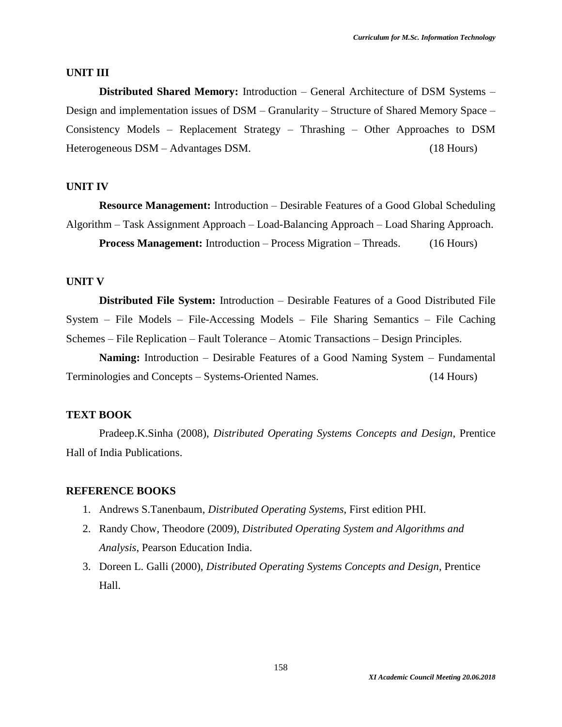#### **UNIT III**

**Distributed Shared Memory:** Introduction – General Architecture of DSM Systems – Design and implementation issues of DSM – Granularity – Structure of Shared Memory Space – Consistency Models – Replacement Strategy – Thrashing – Other Approaches to DSM Heterogeneous DSM – Advantages DSM. (18 Hours)

#### **UNIT IV**

**Resource Management:** Introduction – Desirable Features of a Good Global Scheduling Algorithm – Task Assignment Approach – Load-Balancing Approach – Load Sharing Approach. **Process Management:** Introduction – Process Migration – Threads. (16 Hours)

#### **UNIT V**

**Distributed File System:** Introduction – Desirable Features of a Good Distributed File System – File Models – File-Accessing Models – File Sharing Semantics – File Caching Schemes – File Replication – Fault Tolerance – Atomic Transactions – Design Principles.

**Naming:** Introduction – Desirable Features of a Good Naming System – Fundamental Terminologies and Concepts – Systems-Oriented Names. (14 Hours)

#### **TEXT BOOK**

Pradeep.K.Sinha (2008), *Distributed Operating Systems Concepts and Design*, Prentice Hall of India Publications.

- 1. Andrews S.Tanenbaum, *Distributed Operating Systems*, First edition PHI.
- 2. Randy Chow, Theodore (2009), *Distributed Operating System and Algorithms and Analysis*, Pearson Education India.
- 3. [Doreen L. Galli](https://www.google.co.in/search?tbo=p&tbm=bks&q=inauthor:%22Doreen+L.+Galli%22) (2000), *Distributed Operating Systems Concepts and Design*, Prentice Hall.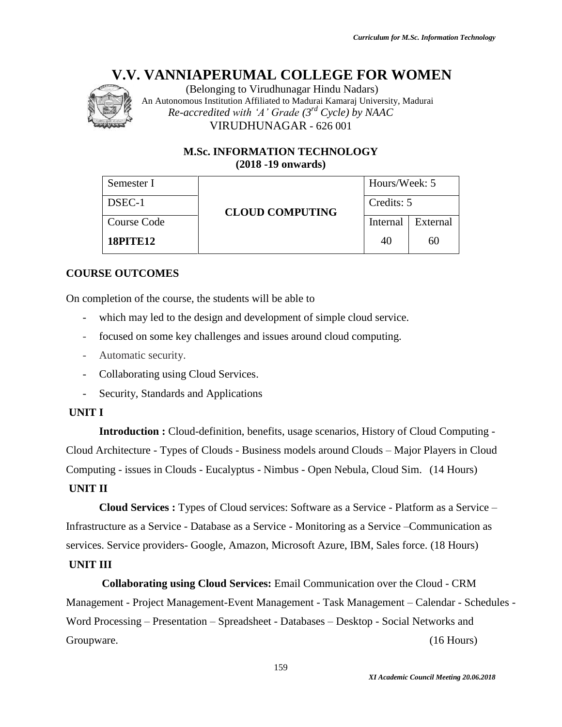

(Belonging to Virudhunagar Hindu Nadars) An Autonomous Institution Affiliated to Madurai Kamaraj University, Madurai *Re-accredited with 'A' Grade (3rd Cycle) by NAAC* VIRUDHUNAGAR - 626 001

# **M.Sc. INFORMATION TECHNOLOGY (2018 -19 onwards)**

| Semester I      |                        | Hours/Week: 5 |          |
|-----------------|------------------------|---------------|----------|
| DSEC-1          | <b>CLOUD COMPUTING</b> | Credits: 5    |          |
| Course Code     |                        | Internal      | External |
| <b>18PITE12</b> |                        | 40            | 60       |

# **COURSE OUTCOMES**

On completion of the course, the students will be able to

- which may led to the design and development of simple cloud service.
- focused on some key challenges and issues around cloud computing.
- Automatic security.
- Collaborating using Cloud Services.
- Security, Standards and Applications

# **UNIT I**

**Introduction :** Cloud-definition, benefits, usage scenarios, History of Cloud Computing - Cloud Architecture - Types of Clouds - Business models around Clouds – Major Players in Cloud Computing - issues in Clouds - Eucalyptus - Nimbus - Open Nebula, Cloud Sim. (14 Hours) **UNIT II**

**Cloud Services :** Types of Cloud services: Software as a Service - Platform as a Service – Infrastructure as a Service - Database as a Service - Monitoring as a Service –Communication as services. Service providers- Google, Amazon, Microsoft Azure, IBM, Sales force. (18 Hours)

# **UNIT III**

**Collaborating using Cloud Services:** Email Communication over the Cloud - CRM Management - Project Management-Event Management - Task Management – Calendar - Schedules - Word Processing – Presentation – Spreadsheet - Databases – Desktop - Social Networks and Groupware. (16 Hours)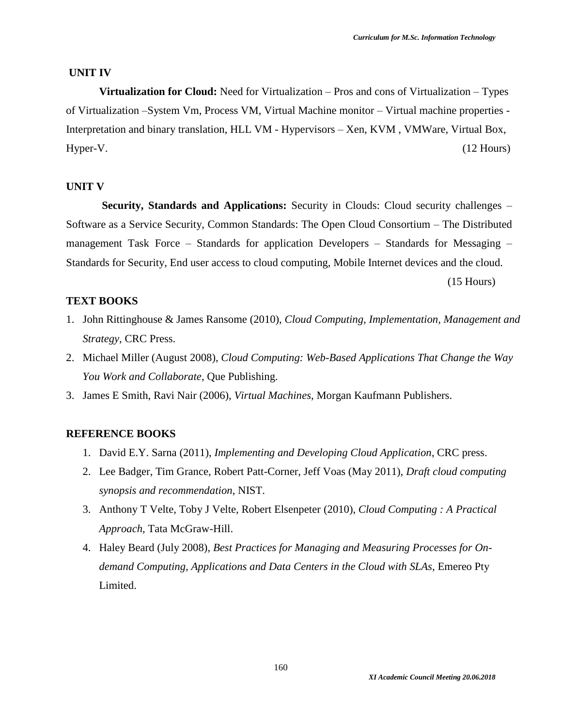#### **UNIT IV**

**Virtualization for Cloud:** Need for Virtualization – Pros and cons of Virtualization – Types of Virtualization –System Vm, Process VM, Virtual Machine monitor – Virtual machine properties - Interpretation and binary translation, HLL VM - Hypervisors – Xen, KVM , VMWare, Virtual Box, Hyper-V. (12 Hours)

#### **UNIT V**

**Security, Standards and Applications:** Security in Clouds: Cloud security challenges – Software as a Service Security, Common Standards: The Open Cloud Consortium – The Distributed management Task Force – Standards for application Developers – Standards for Messaging – Standards for Security, End user access to cloud computing, Mobile Internet devices and the cloud.

(15 Hours)

### **TEXT BOOKS**

- 1. John Rittinghouse & James Ransome (2010), *Cloud Computing, Implementation, Management and Strategy*, CRC Press.
- 2. Michael Miller (August 2008), *Cloud Computing: Web-Based Applications That Change the Way You Work and Collaborate*, Que Publishing.
- 3. James E Smith, Ravi Nair (2006), *Virtual Machines*, Morgan Kaufmann Publishers.

- 1. David E.Y. Sarna (2011), *Implementing and Developing Cloud Application*, CRC press.
- 2. Lee Badger, Tim Grance, Robert Patt-Corner, Jeff Voas (May 2011), *Draft cloud computing synopsis and recommendation*, NIST.
- 3. Anthony T Velte, Toby J Velte, Robert Elsenpeter (2010), *Cloud Computing : A Practical Approach*, Tata McGraw-Hill.
- 4. Haley Beard (July 2008), *Best Practices for Managing and Measuring Processes for Ondemand Computing, Applications and Data Centers in the Cloud with SLAs*, Emereo Pty Limited.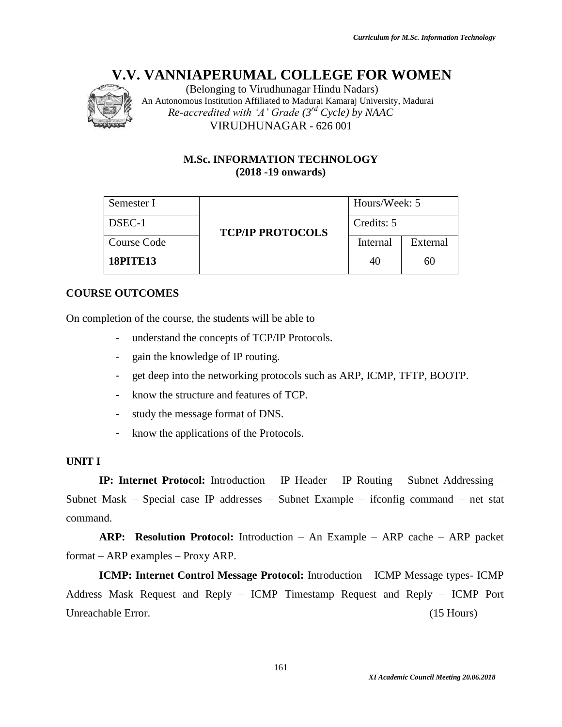

(Belonging to Virudhunagar Hindu Nadars) An Autonomous Institution Affiliated to Madurai Kamaraj University, Madurai *Re-accredited with 'A' Grade (3rd Cycle) by NAAC* VIRUDHUNAGAR - 626 001

# **M.Sc. INFORMATION TECHNOLOGY (2018 -19 onwards)**

| Semester I      |                         | Hours/Week: 5 |          |
|-----------------|-------------------------|---------------|----------|
| DSEC-1          | <b>TCP/IP PROTOCOLS</b> | Credits: 5    |          |
| Course Code     |                         | Internal      | External |
| <b>18PITE13</b> |                         | 40            | 60       |

# **COURSE OUTCOMES**

On completion of the course, the students will be able to

- understand the concepts of TCP/IP Protocols.
- gain the knowledge of IP routing.
- get deep into the networking protocols such as ARP, ICMP, TFTP, BOOTP.
- know the structure and features of TCP.
- study the message format of DNS.
- know the applications of the Protocols.

# **UNIT I**

**IP: Internet Protocol:** Introduction – IP Header – IP Routing – Subnet Addressing – Subnet Mask – Special case IP addresses – Subnet Example – ifconfig command – net stat command.

**ARP: Resolution Protocol:** Introduction – An Example – ARP cache – ARP packet format – ARP examples – Proxy ARP.

**ICMP: Internet Control Message Protocol:** Introduction – ICMP Message types- ICMP Address Mask Request and Reply – ICMP Timestamp Request and Reply – ICMP Port Unreachable Error. (15 Hours)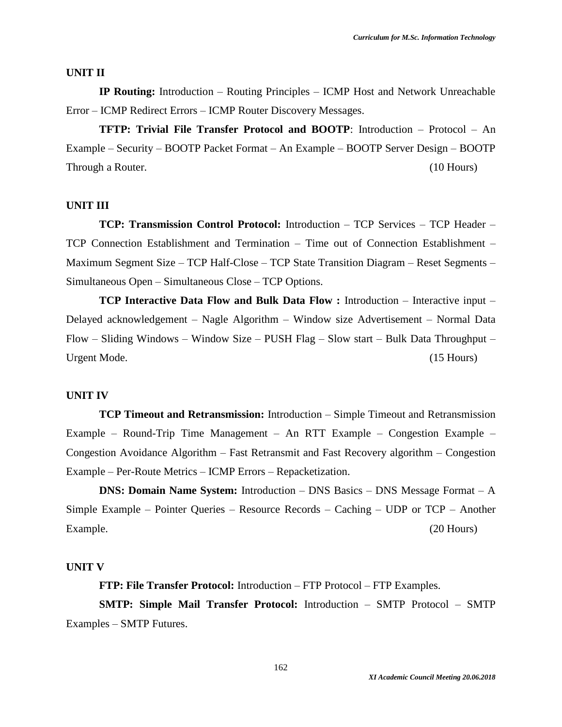#### **UNIT II**

**IP Routing:** Introduction – Routing Principles – ICMP Host and Network Unreachable Error – ICMP Redirect Errors – ICMP Router Discovery Messages.

**TFTP: Trivial File Transfer Protocol and BOOTP**: Introduction – Protocol – An Example – Security – BOOTP Packet Format – An Example – BOOTP Server Design – BOOTP Through a Router. (10 Hours) (10 Hours)

#### **UNIT III**

**TCP: Transmission Control Protocol:** Introduction – TCP Services – TCP Header – TCP Connection Establishment and Termination – Time out of Connection Establishment – Maximum Segment Size – TCP Half-Close – TCP State Transition Diagram – Reset Segments – Simultaneous Open – Simultaneous Close – TCP Options.

**TCP Interactive Data Flow and Bulk Data Flow :** Introduction – Interactive input – Delayed acknowledgement – Nagle Algorithm – Window size Advertisement – Normal Data Flow – Sliding Windows – Window Size – PUSH Flag – Slow start – Bulk Data Throughput – Urgent Mode. (15 Hours)

#### **UNIT IV**

**TCP Timeout and Retransmission:** Introduction – Simple Timeout and Retransmission Example – Round-Trip Time Management – An RTT Example – Congestion Example – Congestion Avoidance Algorithm – Fast Retransmit and Fast Recovery algorithm – Congestion Example – Per-Route Metrics – ICMP Errors – Repacketization.

**DNS: Domain Name System:** Introduction – DNS Basics – DNS Message Format – A Simple Example – Pointer Queries – Resource Records – Caching – UDP or TCP – Another Example. (20 Hours)

#### **UNIT V**

**FTP: File Transfer Protocol:** Introduction – FTP Protocol – FTP Examples.

**SMTP: Simple Mail Transfer Protocol:** Introduction – SMTP Protocol – SMTP Examples – SMTP Futures.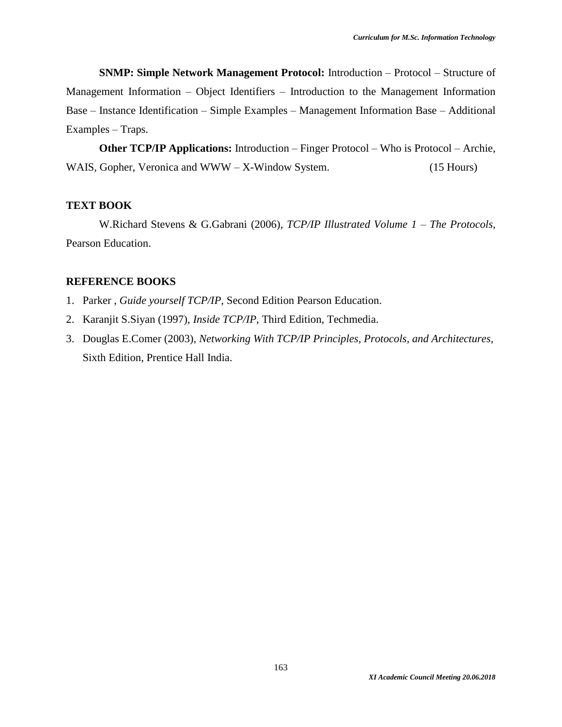**SNMP: Simple Network Management Protocol:** Introduction – Protocol – Structure of Management Information – Object Identifiers – Introduction to the Management Information Base – Instance Identification – Simple Examples – Management Information Base – Additional Examples – Traps.

**Other TCP/IP Applications:** Introduction – Finger Protocol – Who is Protocol – Archie, WAIS, Gopher, Veronica and WWW – X-Window System. (15 Hours)

#### **TEXT BOOK**

W.Richard Stevens & G.Gabrani (2006), *TCP/IP Illustrated Volume 1 – The Protocols*, Pearson Education.

- 1. Parker , *Guide yourself TCP/IP*, Second Edition Pearson Education.
- 2. Karanjit S.Siyan (1997), *Inside TCP/IP*, Third Edition, Techmedia.
- 3. Douglas E.Comer (2003), *Networking With TCP/IP Principles, Protocols, and Architectures*, Sixth Edition, Prentice Hall India.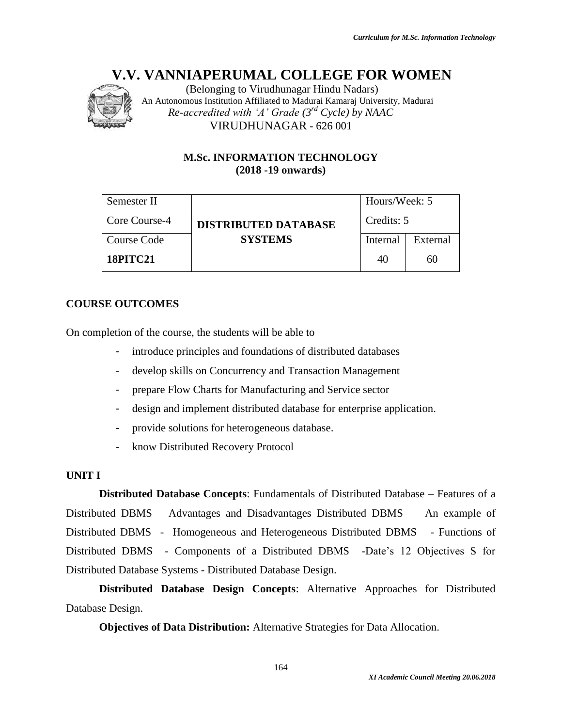

(Belonging to Virudhunagar Hindu Nadars) An Autonomous Institution Affiliated to Madurai Kamaraj University, Madurai *Re-accredited with 'A' Grade (3rd Cycle) by NAAC* VIRUDHUNAGAR - 626 001

# **M.Sc. INFORMATION TECHNOLOGY (2018 -19 onwards)**

| Semester II     |                             | Hours/Week: 5 |          |
|-----------------|-----------------------------|---------------|----------|
| Core Course-4   | <b>DISTRIBUTED DATABASE</b> | Credits: 5    |          |
| Course Code     | <b>SYSTEMS</b>              | Internal      | External |
| <b>18PITC21</b> |                             | 40            | 60       |

# **COURSE OUTCOMES**

On completion of the course, the students will be able to

- introduce principles and foundations of distributed databases
- develop skills on Concurrency and Transaction Management
- prepare Flow Charts for Manufacturing and Service sector
- design and implement distributed database for enterprise application.
- provide solutions for heterogeneous database.
- know Distributed Recovery Protocol

# **UNIT I**

**Distributed Database Concepts**: Fundamentals of Distributed Database – Features of a Distributed DBMS – Advantages and Disadvantages Distributed DBMS – An example of Distributed DBMS - Homogeneous and Heterogeneous Distributed DBMS - Functions of Distributed DBMS - Components of a Distributed DBMS -Date's 12 Objectives S for Distributed Database Systems - Distributed Database Design.

**Distributed Database Design Concepts**: Alternative Approaches for Distributed Database Design.

**Objectives of Data Distribution:** Alternative Strategies for Data Allocation.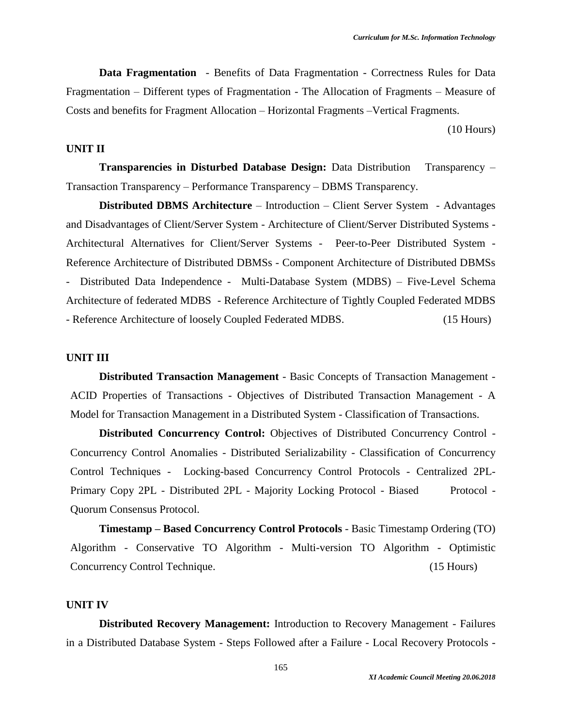**Data Fragmentation** - Benefits of Data Fragmentation - Correctness Rules for Data Fragmentation – Different types of Fragmentation - The Allocation of Fragments – Measure of Costs and benefits for Fragment Allocation – Horizontal Fragments –Vertical Fragments.

(10 Hours)

### **UNIT II**

**Transparencies in Disturbed Database Design:** Data Distribution Transparency – Transaction Transparency – Performance Transparency – DBMS Transparency.

**Distributed DBMS Architecture** – Introduction – Client Server System - Advantages and Disadvantages of Client/Server System - Architecture of Client/Server Distributed Systems - Architectural Alternatives for Client/Server Systems - Peer-to-Peer Distributed System - Reference Architecture of Distributed DBMSs - Component Architecture of Distributed DBMSs - Distributed Data Independence - Multi-Database System (MDBS) – Five-Level Schema Architecture of federated MDBS - Reference Architecture of Tightly Coupled Federated MDBS - Reference Architecture of loosely Coupled Federated MDBS. (15 Hours)

#### **UNIT III**

**Distributed Transaction Management** - Basic Concepts of Transaction Management - ACID Properties of Transactions - Objectives of Distributed Transaction Management - A Model for Transaction Management in a Distributed System - Classification of Transactions.

**Distributed Concurrency Control:** Objectives of Distributed Concurrency Control - Concurrency Control Anomalies - Distributed Serializability - Classification of Concurrency Control Techniques - Locking-based Concurrency Control Protocols - Centralized 2PL-Primary Copy 2PL - Distributed 2PL - Majority Locking Protocol - Biased Protocol -Quorum Consensus Protocol.

**Timestamp – Based Concurrency Control Protocols** - Basic Timestamp Ordering (TO) Algorithm - Conservative TO Algorithm - Multi-version TO Algorithm - Optimistic Concurrency Control Technique. (15 Hours)

#### **UNIT IV**

**Distributed Recovery Management:** Introduction to Recovery Management - Failures in a Distributed Database System - Steps Followed after a Failure - Local Recovery Protocols -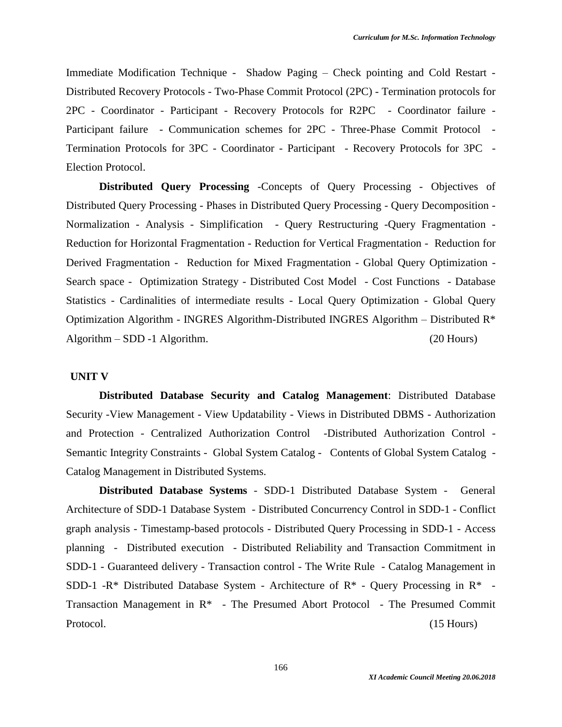Immediate Modification Technique - Shadow Paging – Check pointing and Cold Restart - Distributed Recovery Protocols - Two-Phase Commit Protocol (2PC) - Termination protocols for 2PC - Coordinator - Participant - Recovery Protocols for R2PC - Coordinator failure - Participant failure - Communication schemes for 2PC - Three-Phase Commit Protocol - Termination Protocols for 3PC - Coordinator - Participant - Recovery Protocols for 3PC - Election Protocol.

**Distributed Query Processing** -Concepts of Query Processing - Objectives of Distributed Query Processing - Phases in Distributed Query Processing - Query Decomposition - Normalization - Analysis - Simplification - Query Restructuring -Query Fragmentation - Reduction for Horizontal Fragmentation - Reduction for Vertical Fragmentation - Reduction for Derived Fragmentation - Reduction for Mixed Fragmentation - Global Query Optimization - Search space - Optimization Strategy - Distributed Cost Model - Cost Functions - Database Statistics - Cardinalities of intermediate results - Local Query Optimization - Global Query Optimization Algorithm - INGRES Algorithm-Distributed INGRES Algorithm – Distributed R\* Algorithm – SDD -1 Algorithm. (20 Hours)

#### **UNIT V**

**Distributed Database Security and Catalog Management**: Distributed Database Security -View Management - View Updatability - Views in Distributed DBMS - Authorization and Protection - Centralized Authorization Control -Distributed Authorization Control - Semantic Integrity Constraints - Global System Catalog - Contents of Global System Catalog - Catalog Management in Distributed Systems.

**Distributed Database Systems** - SDD-1 Distributed Database System - General Architecture of SDD-1 Database System - Distributed Concurrency Control in SDD-1 - Conflict graph analysis - Timestamp-based protocols - Distributed Query Processing in SDD-1 - Access planning - Distributed execution - Distributed Reliability and Transaction Commitment in SDD-1 - Guaranteed delivery - Transaction control - The Write Rule - Catalog Management in SDD-1 -R\* Distributed Database System - Architecture of R\* - Query Processing in R\* -Transaction Management in R\* - The Presumed Abort Protocol - The Presumed Commit Protocol. (15 Hours)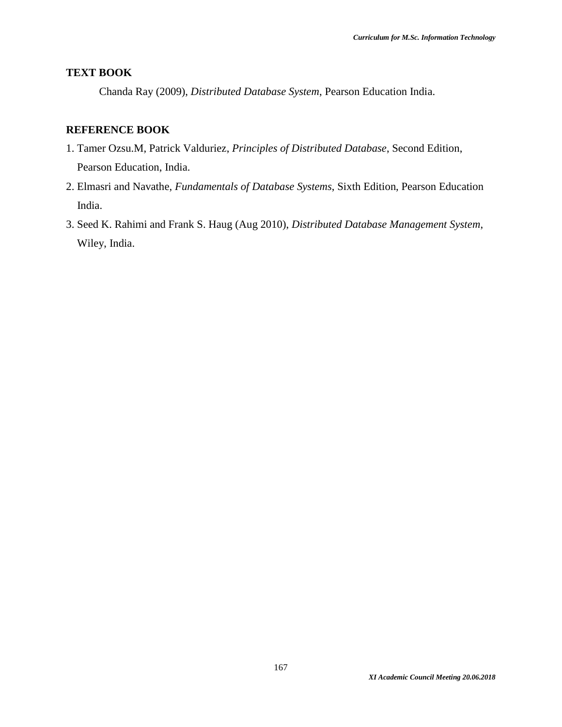# **TEXT BOOK**

Chanda Ray (2009), *Distributed Database System*, Pearson Education India.

- 1. Tamer Ozsu.M, Patrick Valduriez, *Principles of Distributed Database*, Second Edition, Pearson Education, India.
- 2. Elmasri and Navathe, *Fundamentals of Database Systems*, Sixth Edition, Pearson Education India.
- 3. Seed K. Rahimi and Frank S. Haug (Aug 2010), *Distributed Database Management System*, Wiley, India.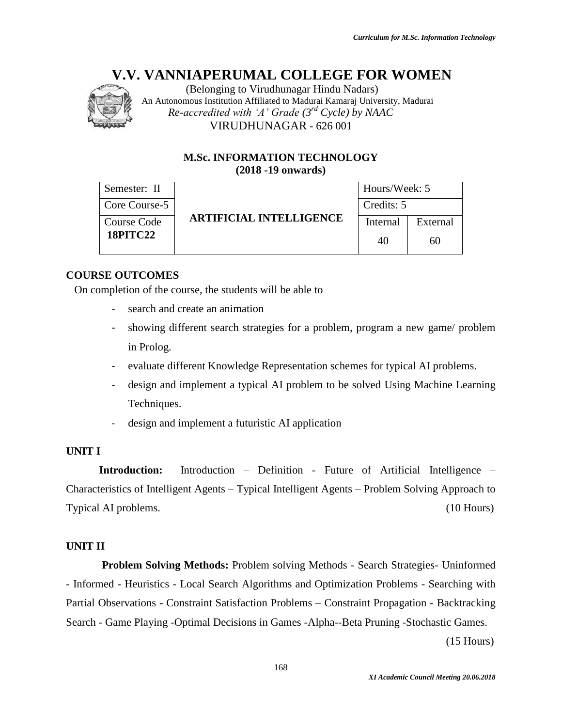

(Belonging to Virudhunagar Hindu Nadars) An Autonomous Institution Affiliated to Madurai Kamaraj University, Madurai *Re-accredited with 'A' Grade (3rd Cycle) by NAAC* VIRUDHUNAGAR - 626 001

# **M.Sc. INFORMATION TECHNOLOGY (2018 -19 onwards)**

| Semester: II       |                                | Hours/Week: 5 |          |  |
|--------------------|--------------------------------|---------------|----------|--|
| Core Course-5      | Credits: 5                     |               |          |  |
| <b>Course Code</b> | <b>ARTIFICIAL INTELLIGENCE</b> | Internal      | External |  |
| <b>18PITC22</b>    |                                | 40            | 60       |  |

# **COURSE OUTCOMES**

On completion of the course, the students will be able to

- search and create an animation
- showing different search strategies for a problem, program a new game/ problem in Prolog.
- evaluate different Knowledge Representation schemes for typical AI problems.
- design and implement a typical AI problem to be solved Using Machine Learning Techniques.
- design and implement a futuristic AI application

# **UNIT I**

**Introduction:** Introduction – Definition - Future of Artificial Intelligence – Characteristics of Intelligent Agents – Typical Intelligent Agents – Problem Solving Approach to Typical AI problems. (10 Hours)

# **UNIT II**

**Problem Solving Methods:** Problem solving Methods - Search Strategies- Uninformed - Informed - Heuristics - Local Search Algorithms and Optimization Problems - Searching with Partial Observations - Constraint Satisfaction Problems – Constraint Propagation - Backtracking Search - Game Playing -Optimal Decisions in Games -Alpha--Beta Pruning -Stochastic Games.

(15 Hours)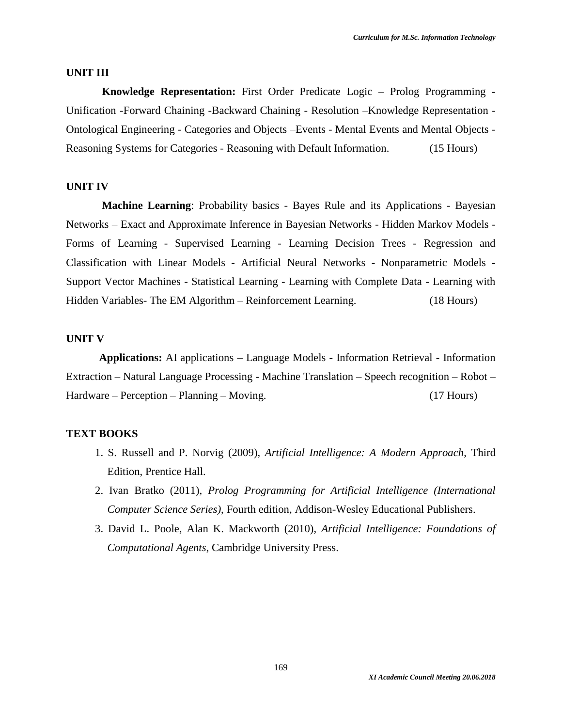#### **UNIT III**

**Knowledge Representation:** First Order Predicate Logic – Prolog Programming - Unification -Forward Chaining -Backward Chaining - Resolution –Knowledge Representation - Ontological Engineering - Categories and Objects –Events - Mental Events and Mental Objects - Reasoning Systems for Categories - Reasoning with Default Information. (15 Hours)

#### **UNIT IV**

**Machine Learning**: Probability basics - Bayes Rule and its Applications - Bayesian Networks – Exact and Approximate Inference in Bayesian Networks - Hidden Markov Models - Forms of Learning - Supervised Learning - Learning Decision Trees - Regression and Classification with Linear Models - Artificial Neural Networks - Nonparametric Models - Support Vector Machines - Statistical Learning - Learning with Complete Data - Learning with Hidden Variables- The EM Algorithm – Reinforcement Learning. (18 Hours)

#### **UNIT V**

**Applications:** AI applications – Language Models - Information Retrieval - Information Extraction – Natural Language Processing - Machine Translation – Speech recognition – Robot – Hardware – Perception – Planning – Moving. (17 Hours)

#### **TEXT BOOKS**

- 1. S. Russell and P. Norvig (2009), *Artificial Intelligence: A Modern Approach*, Third Edition, Prentice Hall.
- 2. Ivan Bratko (2011), *Prolog Programming for Artificial Intelligence (International Computer Science Series)*, Fourth edition, Addison-Wesley Educational Publishers.
- 3. David L. Poole, Alan K. Mackworth (2010), *Artificial Intelligence: Foundations of Computational Agents*, Cambridge University Press.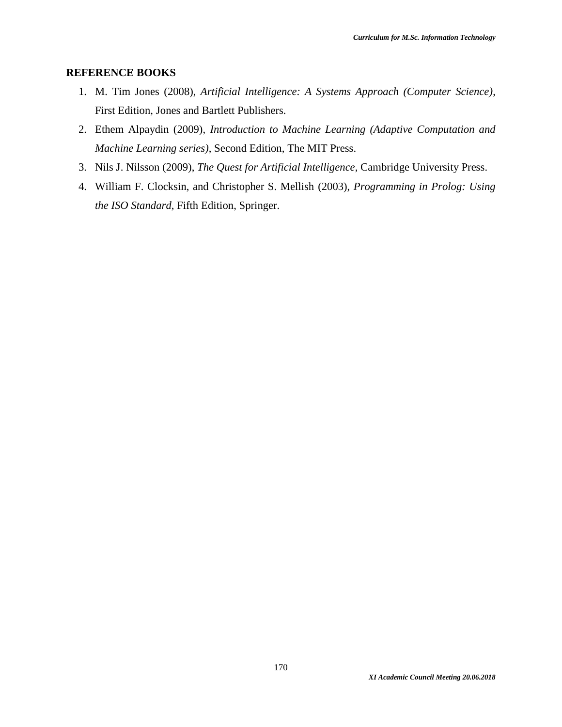- 1. M. Tim Jones (2008), *Artificial Intelligence: A Systems Approach (Computer Science)*, First Edition, Jones and Bartlett Publishers.
- 2. Ethem Alpaydin (2009), *Introduction to Machine Learning (Adaptive Computation and Machine Learning series)*, Second Edition, The MIT Press.
- 3. Nils J. Nilsson (2009), *The Quest for Artificial Intelligence*, Cambridge University Press.
- 4. William F. Clocksin, and Christopher S. Mellish (2003), *Programming in Prolog: Using the ISO Standard*, Fifth Edition, Springer.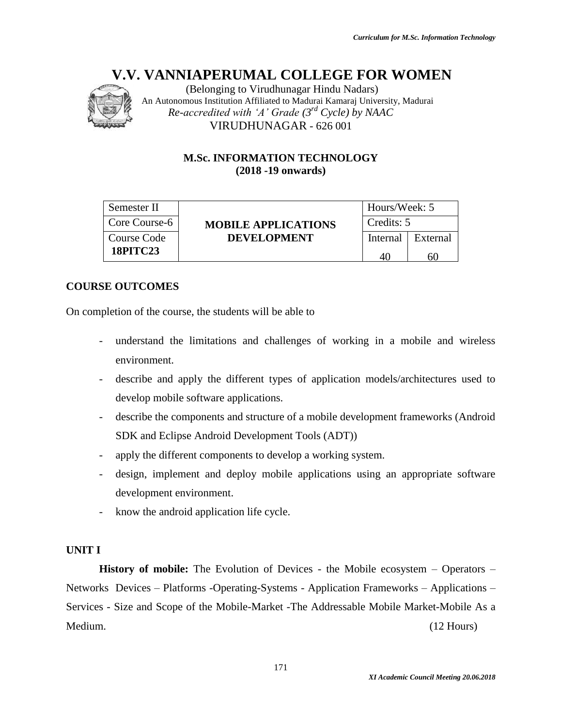

(Belonging to Virudhunagar Hindu Nadars) An Autonomous Institution Affiliated to Madurai Kamaraj University, Madurai *Re-accredited with 'A' Grade (3rd Cycle) by NAAC* VIRUDHUNAGAR - 626 001

# **M.Sc. INFORMATION TECHNOLOGY (2018 -19 onwards)**

| Semester II     |                            | Hours/Week: 5 |          |
|-----------------|----------------------------|---------------|----------|
| Core Course-6   | <b>MOBILE APPLICATIONS</b> | Credits: 5    |          |
| Course Code     | <b>DEVELOPMENT</b>         | Internal      | External |
| <b>18PITC23</b> |                            |               | 60       |

# **COURSE OUTCOMES**

On completion of the course, the students will be able to

- understand the limitations and challenges of working in a mobile and wireless environment.
- describe and apply the different types of application models/architectures used to develop mobile software applications.
- describe the components and structure of a mobile development frameworks (Android SDK and Eclipse Android Development Tools (ADT))
- apply the different components to develop a working system.
- design, implement and deploy mobile applications using an appropriate software development environment.
- know the android application life cycle.

# **UNIT I**

**History of mobile:** The Evolution of Devices - the Mobile ecosystem – Operators – Networks Devices – Platforms -Operating-Systems - Application Frameworks – Applications – Services - Size and Scope of the Mobile-Market -The Addressable Mobile Market-Mobile As a Medium. (12 Hours)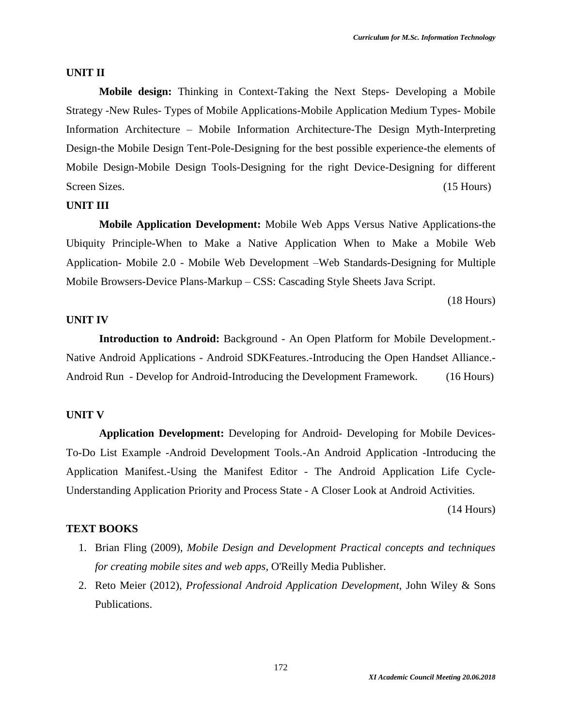#### **UNIT II**

**Mobile design:** Thinking in Context-Taking the Next Steps- Developing a Mobile Strategy -New Rules- Types of Mobile Applications-Mobile Application Medium Types- Mobile Information Architecture – Mobile Information Architecture-The Design Myth-Interpreting Design-the Mobile Design Tent-Pole-Designing for the best possible experience-the elements of Mobile Design-Mobile Design Tools-Designing for the right Device-Designing for different Screen Sizes. (15 Hours) (15 Hours)

#### **UNIT III**

**Mobile Application Development:** Mobile Web Apps Versus Native Applications-the Ubiquity Principle-When to Make a Native Application When to Make a Mobile Web Application- Mobile 2.0 - Mobile Web Development –Web Standards-Designing for Multiple Mobile Browsers-Device Plans-Markup – CSS: Cascading Style Sheets Java Script.

(18 Hours)

#### **UNIT IV**

**Introduction to Android:** Background - An Open Platform for Mobile Development.- Native Android Applications - Android SDKFeatures.-Introducing the Open Handset Alliance.- Android Run - Develop for Android-Introducing the Development Framework. (16 Hours)

#### **UNIT V**

**Application Development:** Developing for Android- Developing for Mobile Devices-To-Do List Example -Android Development Tools.-An Android Application -Introducing the Application Manifest.-Using the Manifest Editor - The Android Application Life Cycle-Understanding Application Priority and Process State - A Closer Look at Android Activities.

(14 Hours)

#### **TEXT BOOKS**

- 1. Brian Fling (2009)*, Mobile Design and Development Practical concepts and techniques for creating mobile sites and web apps*, O'Reilly Media Publisher.
- 2. Reto Meier (2012), *Professional Android Application Development*, John Wiley & Sons Publications.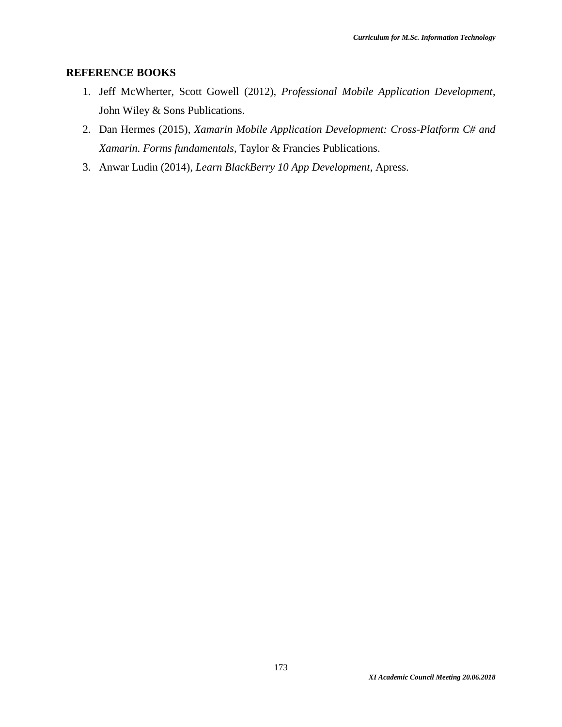- 1. Jeff McWherter, Scott Gowell (2012), *Professional Mobile Application Development*, John Wiley & Sons Publications.
- 2. Dan Hermes (2015), *Xamarin Mobile Application Development: Cross-Platform C# and Xamarin. Forms fundamentals*, Taylor & Francies Publications.
- 3. Anwar Ludin (2014), *Learn BlackBerry 10 App Development*, Apress.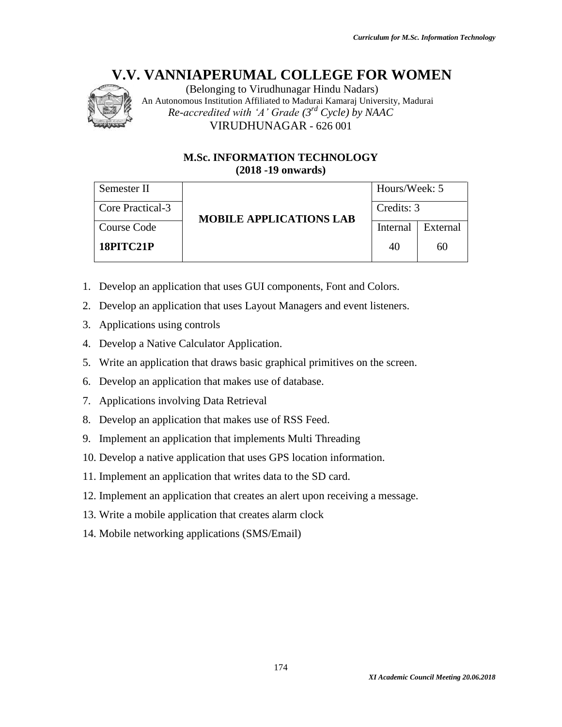

(Belonging to Virudhunagar Hindu Nadars) An Autonomous Institution Affiliated to Madurai Kamaraj University, Madurai *Re-accredited with 'A' Grade (3rd Cycle) by NAAC* VIRUDHUNAGAR - 626 001

# **M.Sc. INFORMATION TECHNOLOGY (2018 -19 onwards)**

| Semester II      | <b>MOBILE APPLICATIONS LAB</b> | Hours/Week: 5 |          |  |
|------------------|--------------------------------|---------------|----------|--|
| Core Practical-3 |                                | Credits: 3    |          |  |
| Course Code      |                                | Internal      | External |  |
| 18PITC21P        |                                | 40            | 60       |  |

- 1. Develop an application that uses GUI components, Font and Colors.
- 2. Develop an application that uses Layout Managers and event listeners.
- 3. Applications using controls
- 4. Develop a Native Calculator Application.
- 5. Write an application that draws basic graphical primitives on the screen.
- 6. Develop an application that makes use of database.
- 7. Applications involving Data Retrieval
- 8. Develop an application that makes use of RSS Feed.
- 9. Implement an application that implements Multi Threading
- 10. Develop a native application that uses GPS location information.
- 11. Implement an application that writes data to the SD card.
- 12. Implement an application that creates an alert upon receiving a message.
- 13. Write a mobile application that creates alarm clock
- 14. Mobile networking applications (SMS/Email)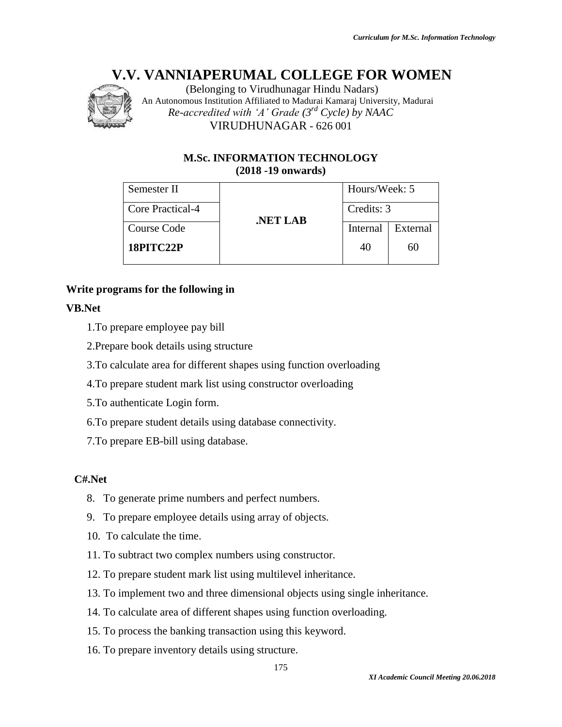

(Belonging to Virudhunagar Hindu Nadars) An Autonomous Institution Affiliated to Madurai Kamaraj University, Madurai *Re-accredited with 'A' Grade (3rd Cycle) by NAAC* VIRUDHUNAGAR - 626 001

# **M.Sc. INFORMATION TECHNOLOGY (2018 -19 onwards)**

| Semester II      |         | Hours/Week: 5 |          |  |
|------------------|---------|---------------|----------|--|
| Core Practical-4 | NET LAB | Credits: 3    |          |  |
| Course Code      |         | Internal      | External |  |
| 18PITC22P        |         | 40            | 60       |  |

# **Write programs for the following in**

# **VB.Net**

- 1.To prepare employee pay bill
- 2.Prepare book details using structure
- 3.To calculate area for different shapes using function overloading
- 4.To prepare student mark list using constructor overloading
- 5.To authenticate Login form.
- 6.To prepare student details using database connectivity.
- 7.To prepare EB-bill using database.

# **C#.Net**

- 8. To generate prime numbers and perfect numbers.
- 9. To prepare employee details using array of objects.
- 10. To calculate the time.
- 11. To subtract two complex numbers using constructor.
- 12. To prepare student mark list using multilevel inheritance.
- 13. To implement two and three dimensional objects using single inheritance.
- 14. To calculate area of different shapes using function overloading.
- 15. To process the banking transaction using this keyword.
- 16. To prepare inventory details using structure.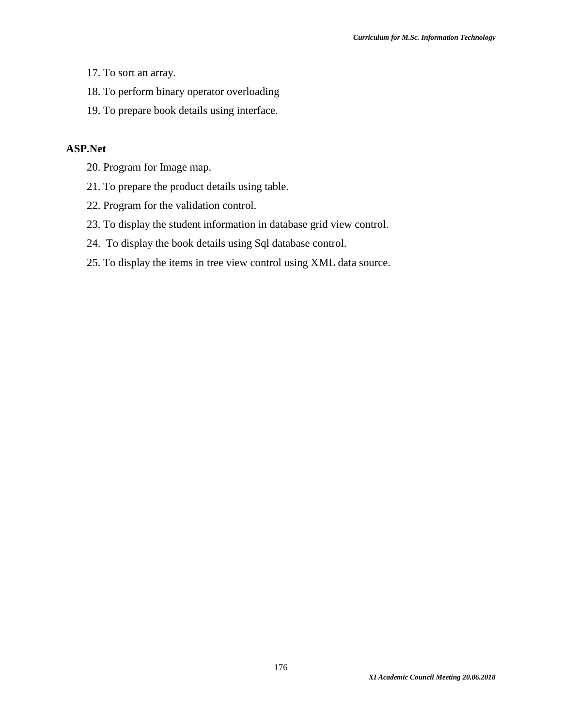- 17. To sort an array.
- 18. To perform binary operator overloading
- 19. To prepare book details using interface.

### **ASP.Net**

- 20. Program for Image map.
- 21. To prepare the product details using table.
- 22. Program for the validation control.
- 23. To display the student information in database grid view control.
- 24. To display the book details using Sql database control.
- 25. To display the items in tree view control using XML data source.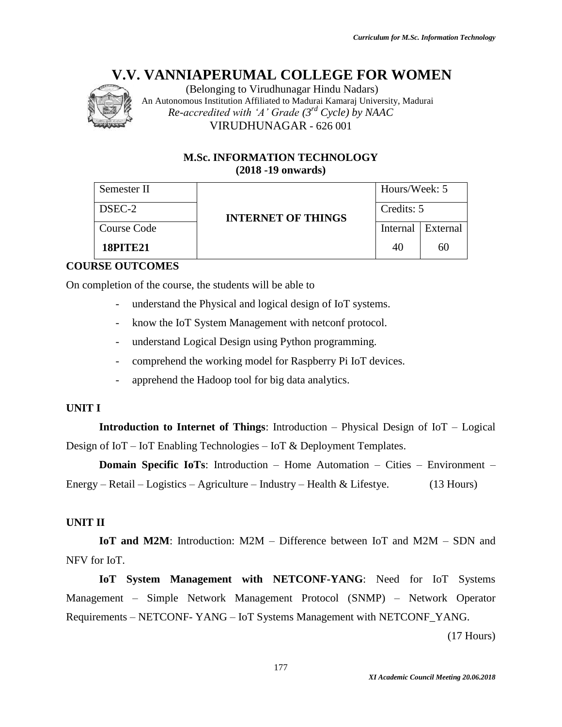

(Belonging to Virudhunagar Hindu Nadars) An Autonomous Institution Affiliated to Madurai Kamaraj University, Madurai *Re-accredited with 'A' Grade (3rd Cycle) by NAAC* VIRUDHUNAGAR - 626 001

# **M.Sc. INFORMATION TECHNOLOGY (2018 -19 onwards)**

| Semester II     | <b>INTERNET OF THINGS</b> | Hours/Week: 5 |                     |
|-----------------|---------------------------|---------------|---------------------|
| DSEC-2          |                           | Credits: 5    |                     |
| Course Code     |                           |               | Internal   External |
| <b>18PITE21</b> |                           | 40            | 60                  |

# **COURSE OUTCOMES**

On completion of the course, the students will be able to

- understand the Physical and logical design of IoT systems.
- know the IoT System Management with netconf protocol.
- understand Logical Design using Python programming.
- comprehend the working model for Raspberry Pi IoT devices.
- apprehend the Hadoop tool for big data analytics.

# **UNIT I**

**Introduction to Internet of Things**: Introduction – Physical Design of IoT – Logical Design of IoT – IoT Enabling Technologies – IoT & Deployment Templates.

**Domain Specific IoTs**: Introduction – Home Automation – Cities – Environment – Energy – Retail – Logistics – Agriculture – Industry – Health & Lifestye. (13 Hours)

# **UNIT II**

**IoT and M2M**: Introduction: M2M – Difference between IoT and M2M – SDN and NFV for IoT.

**IoT System Management with NETCONF-YANG**: Need for IoT Systems Management – Simple Network Management Protocol (SNMP) – Network Operator Requirements – NETCONF- YANG – IoT Systems Management with NETCONF\_YANG.

(17 Hours)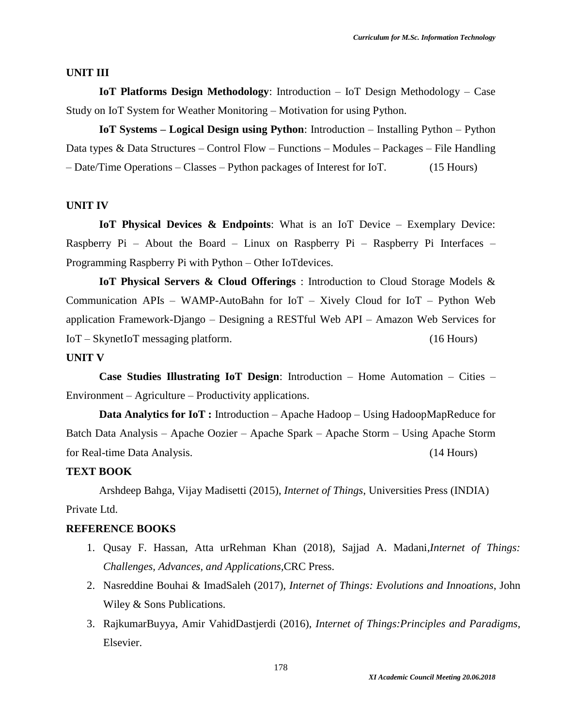#### **UNIT III**

**IoT Platforms Design Methodology**: Introduction – IoT Design Methodology – Case Study on IoT System for Weather Monitoring – Motivation for using Python.

**IoT Systems – Logical Design using Python**: Introduction – Installing Python – Python Data types & Data Structures – Control Flow – Functions – Modules – Packages – File Handling – Date/Time Operations – Classes – Python packages of Interest for IoT. (15 Hours)

#### **UNIT IV**

**IoT Physical Devices & Endpoints**: What is an IoT Device – Exemplary Device: Raspberry Pi – About the Board – Linux on Raspberry Pi – Raspberry Pi Interfaces – Programming Raspberry Pi with Python – Other IoTdevices.

**IoT Physical Servers & Cloud Offerings** : Introduction to Cloud Storage Models & Communication APIs – WAMP-AutoBahn for IoT – Xively Cloud for IoT – Python Web application Framework-Django – Designing a RESTful Web API – Amazon Web Services for IoT – SkynetIoT messaging platform. (16 Hours)

#### **UNIT V**

**Case Studies Illustrating IoT Design**: Introduction – Home Automation – Cities – Environment – Agriculture – Productivity applications.

**Data Analytics for IoT :** Introduction – Apache Hadoop – Using HadoopMapReduce for Batch Data Analysis – Apache Oozier – Apache Spark – Apache Storm – Using Apache Storm for Real-time Data Analysis. (14 Hours)

#### **TEXT BOOK**

Arshdeep Bahga, Vijay Madisetti (2015), *Internet of Things*, Universities Press (INDIA) Private Ltd.

- 1. Qusay F. Hassan, Atta urRehman Khan (2018), Sajjad A. Madani,*Internet of Things: Challenges, Advances, and Applications,*CRC Press.
- 2. Nasreddine Bouhai & ImadSaleh (2017), *Internet of Things: Evolutions and Innoations*, John Wiley & Sons Publications.
- 3. RajkumarBuyya, Amir VahidDastjerdi (2016), *Internet of Things:Principles and Paradigms*, Elsevier.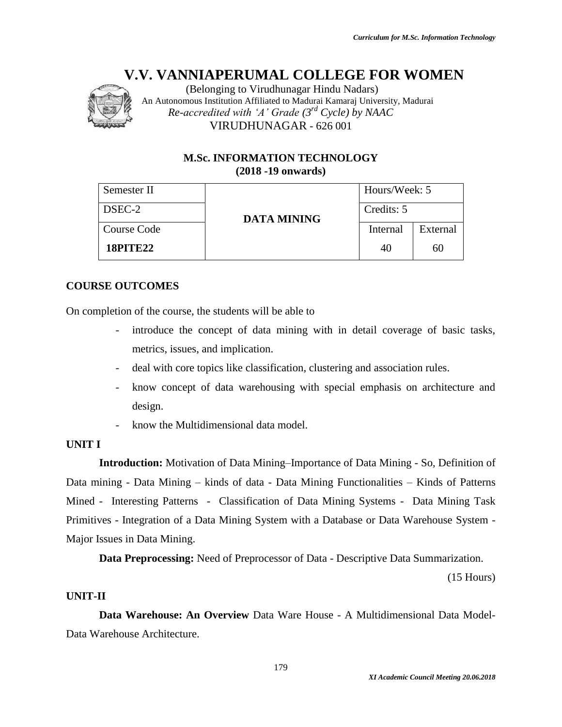

(Belonging to Virudhunagar Hindu Nadars) An Autonomous Institution Affiliated to Madurai Kamaraj University, Madurai *Re-accredited with 'A' Grade (3rd Cycle) by NAAC* VIRUDHUNAGAR - 626 001

# **M.Sc. INFORMATION TECHNOLOGY (2018 -19 onwards)**

| Semester II     |             | Hours/Week: 5 |          |
|-----------------|-------------|---------------|----------|
| DSEC-2          | DATA MINING | Credits: 5    |          |
| Course Code     |             | Internal      | External |
| <b>18PITE22</b> |             | 40            | 60       |

# **COURSE OUTCOMES**

On completion of the course, the students will be able to

- introduce the concept of data mining with in detail coverage of basic tasks, metrics, issues, and implication.
- deal with core topics like classification, clustering and association rules.
- know concept of data warehousing with special emphasis on architecture and design.
- know the Multidimensional data model.

# **UNIT I**

**Introduction:** Motivation of Data Mining–Importance of Data Mining - So, Definition of Data mining - Data Mining – kinds of data - Data Mining Functionalities – Kinds of Patterns Mined - Interesting Patterns - Classification of Data Mining Systems - Data Mining Task Primitives - Integration of a Data Mining System with a Database or Data Warehouse System - Major Issues in Data Mining.

**Data Preprocessing:** Need of Preprocessor of Data - Descriptive Data Summarization.

(15 Hours)

# **UNIT-II**

**Data Warehouse: An Overview** Data Ware House - A Multidimensional Data Model-Data Warehouse Architecture.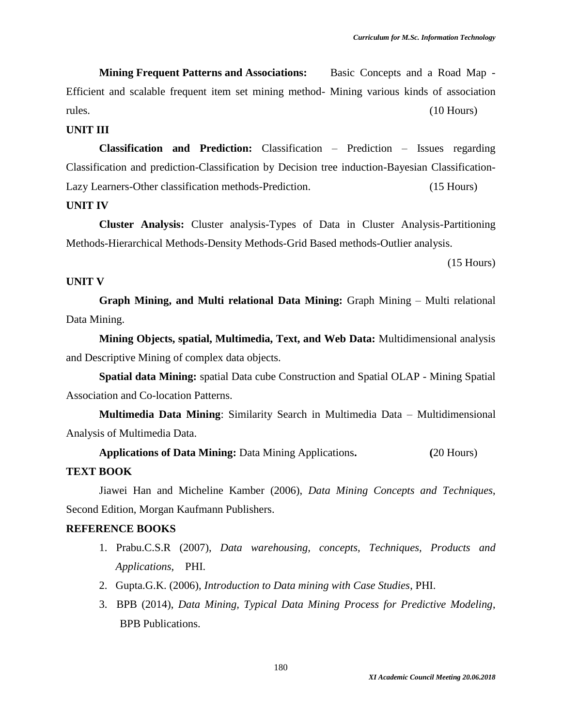**Mining Frequent Patterns and Associations:** Basic Concepts and a Road Map - Efficient and scalable frequent item set mining method- Mining various kinds of association rules. (10 Hours) (10 Hours)

#### **UNIT III**

**Classification and Prediction:** Classification – Prediction – Issues regarding Classification and prediction-Classification by Decision tree induction-Bayesian Classification-Lazy Learners-Other classification methods-Prediction. (15 Hours)

### **UNIT IV**

**Cluster Analysis:** Cluster analysis-Types of Data in Cluster Analysis-Partitioning Methods-Hierarchical Methods-Density Methods-Grid Based methods-Outlier analysis.

(15 Hours)

#### **UNIT V**

**Graph Mining, and Multi relational Data Mining:** Graph Mining – Multi relational Data Mining.

**Mining Objects, spatial, Multimedia, Text, and Web Data:** Multidimensional analysis and Descriptive Mining of complex data objects.

**Spatial data Mining:** spatial Data cube Construction and Spatial OLAP - Mining Spatial Association and Co-location Patterns.

**Multimedia Data Mining**: Similarity Search in Multimedia Data – Multidimensional Analysis of Multimedia Data.

**Applications of Data Mining:** Data Mining Applications**. (**20 Hours) **TEXT BOOK**

Jiawei Han and Micheline Kamber (2006), *Data Mining Concepts and Techniques*, Second Edition, Morgan Kaufmann Publishers.

- 1. Prabu.C.S.R (2007), *Data warehousing, concepts, Techniques, Products and Applications*, PHI.
- 2. Gupta.G.K. (2006), *Introduction to Data mining with Case Studies*, PHI.
- 3. BPB (2014), *Data Mining, Typical Data Mining Process for Predictive Modeling*, BPB Publications.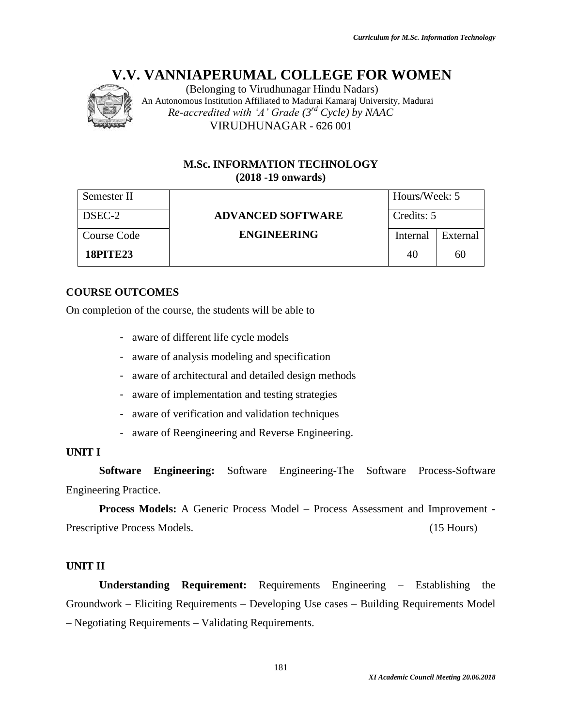

(Belonging to Virudhunagar Hindu Nadars) An Autonomous Institution Affiliated to Madurai Kamaraj University, Madurai *Re-accredited with 'A' Grade (3rd Cycle) by NAAC* VIRUDHUNAGAR - 626 001

# **M.Sc. INFORMATION TECHNOLOGY (2018 -19 onwards)**

| Semester II     |                          | Hours/Week: 5 |          |
|-----------------|--------------------------|---------------|----------|
| DSEC-2          | <b>ADVANCED SOFTWARE</b> | Credits: 5    |          |
| Course Code     | <b>ENGINEERING</b>       | Internal      | External |
| <b>18PITE23</b> |                          | 40            | 60       |

# **COURSE OUTCOMES**

On completion of the course, the students will be able to

- aware of different life cycle models
- aware of analysis modeling and specification
- aware of architectural and detailed design methods
- aware of implementation and testing strategies
- aware of verification and validation techniques
- aware of Reengineering and Reverse Engineering.

# **UNIT I**

**Software Engineering:** Software Engineering-The Software Process-Software Engineering Practice.

**Process Models:** A Generic Process Model – Process Assessment and Improvement - Prescriptive Process Models. (15 Hours) (15 Hours)

# **UNIT II**

**Understanding Requirement:** Requirements Engineering – Establishing the Groundwork – Eliciting Requirements – Developing Use cases – Building Requirements Model – Negotiating Requirements – Validating Requirements.